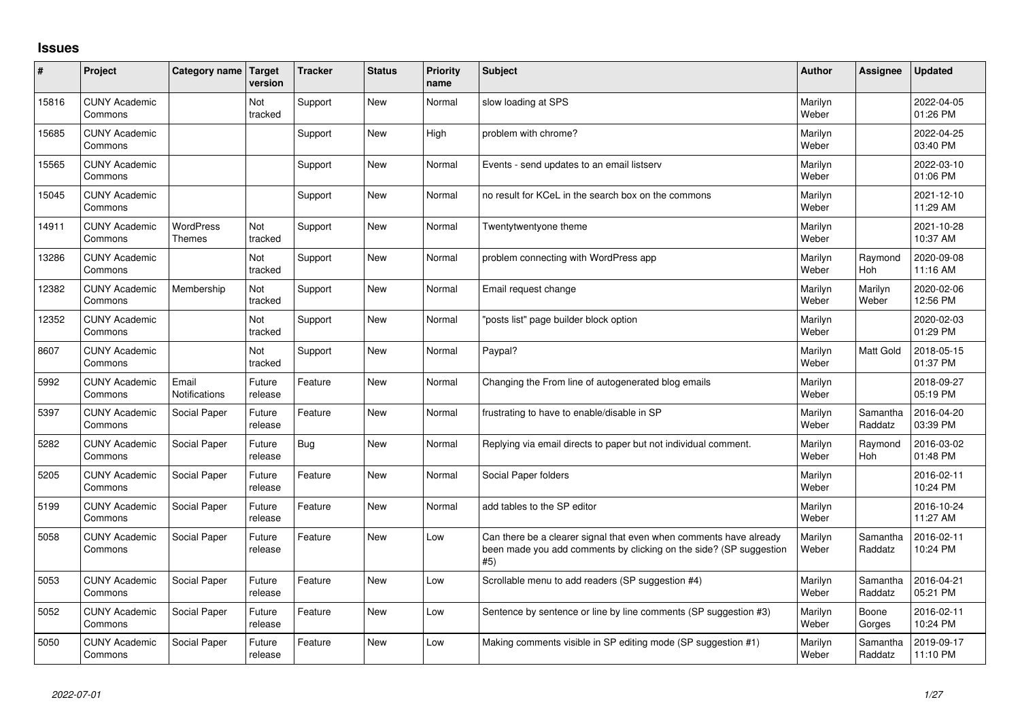## **Issues**

| ∦     | Project                         | Category name          | <b>Target</b><br>version | <b>Tracker</b> | <b>Status</b> | <b>Priority</b><br>name | <b>Subject</b>                                                                                                                                  | <b>Author</b>    | Assignee            | <b>Updated</b>         |
|-------|---------------------------------|------------------------|--------------------------|----------------|---------------|-------------------------|-------------------------------------------------------------------------------------------------------------------------------------------------|------------------|---------------------|------------------------|
| 15816 | <b>CUNY Academic</b><br>Commons |                        | Not<br>tracked           | Support        | <b>New</b>    | Normal                  | slow loading at SPS                                                                                                                             | Marilyn<br>Weber |                     | 2022-04-05<br>01:26 PM |
| 15685 | <b>CUNY Academic</b><br>Commons |                        |                          | Support        | <b>New</b>    | High                    | problem with chrome?                                                                                                                            | Marilyn<br>Weber |                     | 2022-04-25<br>03:40 PM |
| 15565 | <b>CUNY Academic</b><br>Commons |                        |                          | Support        | <b>New</b>    | Normal                  | Events - send updates to an email listserv                                                                                                      | Marilyn<br>Weber |                     | 2022-03-10<br>01:06 PM |
| 15045 | <b>CUNY Academic</b><br>Commons |                        |                          | Support        | <b>New</b>    | Normal                  | no result for KCeL in the search box on the commons                                                                                             | Marilyn<br>Weber |                     | 2021-12-10<br>11:29 AM |
| 14911 | <b>CUNY Academic</b><br>Commons | WordPress<br>Themes    | Not<br>tracked           | Support        | <b>New</b>    | Normal                  | Twentytwentyone theme                                                                                                                           | Marilyn<br>Weber |                     | 2021-10-28<br>10:37 AM |
| 13286 | <b>CUNY Academic</b><br>Commons |                        | Not<br>tracked           | Support        | <b>New</b>    | Normal                  | problem connecting with WordPress app                                                                                                           | Marilyn<br>Weber | Raymond<br>Hoh      | 2020-09-08<br>11:16 AM |
| 12382 | <b>CUNY Academic</b><br>Commons | Membership             | Not<br>tracked           | Support        | <b>New</b>    | Normal                  | Email request change                                                                                                                            | Marilyn<br>Weber | Marilyn<br>Weber    | 2020-02-06<br>12:56 PM |
| 12352 | <b>CUNY Academic</b><br>Commons |                        | Not<br>tracked           | Support        | <b>New</b>    | Normal                  | 'posts list" page builder block option                                                                                                          | Marilyn<br>Weber |                     | 2020-02-03<br>01:29 PM |
| 8607  | <b>CUNY Academic</b><br>Commons |                        | Not<br>tracked           | Support        | <b>New</b>    | Normal                  | Paypal?                                                                                                                                         | Marilyn<br>Weber | <b>Matt Gold</b>    | 2018-05-15<br>01:37 PM |
| 5992  | <b>CUNY Academic</b><br>Commons | Email<br>Notifications | Future<br>release        | Feature        | <b>New</b>    | Normal                  | Changing the From line of autogenerated blog emails                                                                                             | Marilyn<br>Weber |                     | 2018-09-27<br>05:19 PM |
| 5397  | <b>CUNY Academic</b><br>Commons | Social Paper           | Future<br>release        | Feature        | <b>New</b>    | Normal                  | frustrating to have to enable/disable in SP                                                                                                     | Marilyn<br>Weber | Samantha<br>Raddatz | 2016-04-20<br>03:39 PM |
| 5282  | <b>CUNY Academic</b><br>Commons | Social Paper           | Future<br>release        | <b>Bug</b>     | <b>New</b>    | Normal                  | Replying via email directs to paper but not individual comment.                                                                                 | Marilyn<br>Weber | Raymond<br>Hoh      | 2016-03-02<br>01:48 PM |
| 5205  | <b>CUNY Academic</b><br>Commons | Social Paper           | Future<br>release        | Feature        | <b>New</b>    | Normal                  | Social Paper folders                                                                                                                            | Marilyn<br>Weber |                     | 2016-02-11<br>10:24 PM |
| 5199  | <b>CUNY Academic</b><br>Commons | Social Paper           | Future<br>release        | Feature        | <b>New</b>    | Normal                  | add tables to the SP editor                                                                                                                     | Marilyn<br>Weber |                     | 2016-10-24<br>11:27 AM |
| 5058  | <b>CUNY Academic</b><br>Commons | Social Paper           | Future<br>release        | Feature        | <b>New</b>    | Low                     | Can there be a clearer signal that even when comments have already<br>been made you add comments by clicking on the side? (SP suggestion<br>#5) | Marilyn<br>Weber | Samantha<br>Raddatz | 2016-02-11<br>10:24 PM |
| 5053  | <b>CUNY Academic</b><br>Commons | Social Paper           | Future<br>release        | Feature        | <b>New</b>    | Low                     | Scrollable menu to add readers (SP suggestion #4)                                                                                               | Marilyn<br>Weber | Samantha<br>Raddatz | 2016-04-21<br>05:21 PM |
| 5052  | <b>CUNY Academic</b><br>Commons | Social Paper           | Future<br>release        | Feature        | <b>New</b>    | Low                     | Sentence by sentence or line by line comments (SP suggestion #3)                                                                                | Marilyn<br>Weber | Boone<br>Gorges     | 2016-02-11<br>10:24 PM |
| 5050  | <b>CUNY Academic</b><br>Commons | Social Paper           | Future<br>release        | Feature        | <b>New</b>    | Low                     | Making comments visible in SP editing mode (SP suggestion #1)                                                                                   | Marilyn<br>Weber | Samantha<br>Raddatz | 2019-09-17<br>11:10 PM |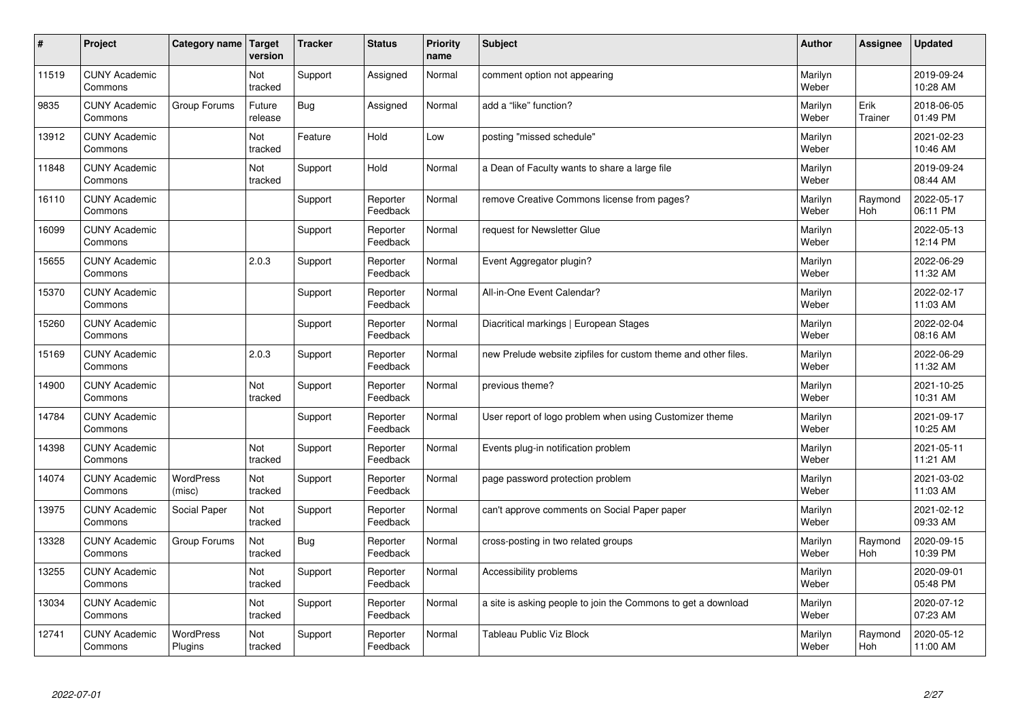| #     | Project                         | Category name               | Target<br>version | <b>Tracker</b> | <b>Status</b>        | <b>Priority</b><br>name | <b>Subject</b>                                                 | <b>Author</b>    | Assignee        | <b>Updated</b>         |
|-------|---------------------------------|-----------------------------|-------------------|----------------|----------------------|-------------------------|----------------------------------------------------------------|------------------|-----------------|------------------------|
| 11519 | <b>CUNY Academic</b><br>Commons |                             | Not<br>tracked    | Support        | Assigned             | Normal                  | comment option not appearing                                   | Marilyn<br>Weber |                 | 2019-09-24<br>10:28 AM |
| 9835  | <b>CUNY Academic</b><br>Commons | Group Forums                | Future<br>release | Bug            | Assigned             | Normal                  | add a "like" function?                                         | Marilyn<br>Weber | Erik<br>Trainer | 2018-06-05<br>01:49 PM |
| 13912 | <b>CUNY Academic</b><br>Commons |                             | Not<br>tracked    | Feature        | Hold                 | Low                     | posting "missed schedule"                                      | Marilyn<br>Weber |                 | 2021-02-23<br>10:46 AM |
| 11848 | <b>CUNY Academic</b><br>Commons |                             | Not<br>tracked    | Support        | Hold                 | Normal                  | a Dean of Faculty wants to share a large file                  | Marilyn<br>Weber |                 | 2019-09-24<br>08:44 AM |
| 16110 | <b>CUNY Academic</b><br>Commons |                             |                   | Support        | Reporter<br>Feedback | Normal                  | remove Creative Commons license from pages?                    | Marilyn<br>Weber | Raymond<br>Hoh  | 2022-05-17<br>06:11 PM |
| 16099 | <b>CUNY Academic</b><br>Commons |                             |                   | Support        | Reporter<br>Feedback | Normal                  | request for Newsletter Glue                                    | Marilyn<br>Weber |                 | 2022-05-13<br>12:14 PM |
| 15655 | <b>CUNY Academic</b><br>Commons |                             | 2.0.3             | Support        | Reporter<br>Feedback | Normal                  | Event Aggregator plugin?                                       | Marilyn<br>Weber |                 | 2022-06-29<br>11:32 AM |
| 15370 | <b>CUNY Academic</b><br>Commons |                             |                   | Support        | Reporter<br>Feedback | Normal                  | All-in-One Event Calendar?                                     | Marilyn<br>Weber |                 | 2022-02-17<br>11:03 AM |
| 15260 | <b>CUNY Academic</b><br>Commons |                             |                   | Support        | Reporter<br>Feedback | Normal                  | Diacritical markings   European Stages                         | Marilyn<br>Weber |                 | 2022-02-04<br>08:16 AM |
| 15169 | <b>CUNY Academic</b><br>Commons |                             | 2.0.3             | Support        | Reporter<br>Feedback | Normal                  | new Prelude website zipfiles for custom theme and other files. | Marilyn<br>Weber |                 | 2022-06-29<br>11:32 AM |
| 14900 | <b>CUNY Academic</b><br>Commons |                             | Not<br>tracked    | Support        | Reporter<br>Feedback | Normal                  | previous theme?                                                | Marilyn<br>Weber |                 | 2021-10-25<br>10:31 AM |
| 14784 | <b>CUNY Academic</b><br>Commons |                             |                   | Support        | Reporter<br>Feedback | Normal                  | User report of logo problem when using Customizer theme        | Marilyn<br>Weber |                 | 2021-09-17<br>10:25 AM |
| 14398 | <b>CUNY Academic</b><br>Commons |                             | Not<br>tracked    | Support        | Reporter<br>Feedback | Normal                  | Events plug-in notification problem                            | Marilyn<br>Weber |                 | 2021-05-11<br>11:21 AM |
| 14074 | <b>CUNY Academic</b><br>Commons | <b>WordPress</b><br>(misc)  | Not<br>tracked    | Support        | Reporter<br>Feedback | Normal                  | page password protection problem                               | Marilyn<br>Weber |                 | 2021-03-02<br>11:03 AM |
| 13975 | <b>CUNY Academic</b><br>Commons | Social Paper                | Not<br>tracked    | Support        | Reporter<br>Feedback | Normal                  | can't approve comments on Social Paper paper                   | Marilyn<br>Weber |                 | 2021-02-12<br>09:33 AM |
| 13328 | <b>CUNY Academic</b><br>Commons | Group Forums                | Not<br>tracked    | Bug            | Reporter<br>Feedback | Normal                  | cross-posting in two related groups                            | Marilyn<br>Weber | Raymond<br>Hoh  | 2020-09-15<br>10:39 PM |
| 13255 | <b>CUNY Academic</b><br>Commons |                             | Not<br>tracked    | Support        | Reporter<br>Feedback | Normal                  | Accessibility problems                                         | Marilyn<br>Weber |                 | 2020-09-01<br>05:48 PM |
| 13034 | <b>CUNY Academic</b><br>Commons |                             | Not<br>tracked    | Support        | Reporter<br>Feedback | Normal                  | a site is asking people to join the Commons to get a download  | Marilyn<br>Weber |                 | 2020-07-12<br>07:23 AM |
| 12741 | <b>CUNY Academic</b><br>Commons | <b>WordPress</b><br>Plugins | Not<br>tracked    | Support        | Reporter<br>Feedback | Normal                  | Tableau Public Viz Block                                       | Marilyn<br>Weber | Raymond<br>Hoh  | 2020-05-12<br>11:00 AM |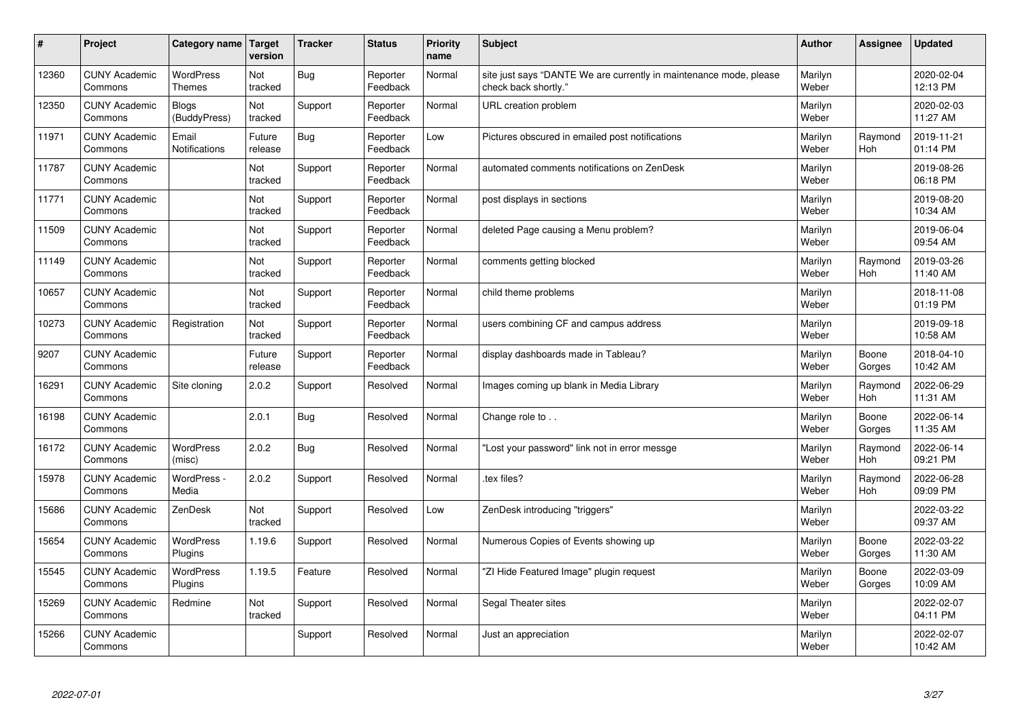| #     | Project                         | Category name   Target            | version           | <b>Tracker</b> | <b>Status</b>        | Priority<br>name | <b>Subject</b>                                                                             | <b>Author</b>    | <b>Assignee</b>       | <b>Updated</b>         |
|-------|---------------------------------|-----------------------------------|-------------------|----------------|----------------------|------------------|--------------------------------------------------------------------------------------------|------------------|-----------------------|------------------------|
| 12360 | <b>CUNY Academic</b><br>Commons | <b>WordPress</b><br><b>Themes</b> | Not<br>tracked    | Bug            | Reporter<br>Feedback | Normal           | site just says "DANTE We are currently in maintenance mode, please<br>check back shortly." | Marilyn<br>Weber |                       | 2020-02-04<br>12:13 PM |
| 12350 | <b>CUNY Academic</b><br>Commons | <b>Blogs</b><br>(BuddyPress)      | Not<br>tracked    | Support        | Reporter<br>Feedback | Normal           | URL creation problem                                                                       | Marilyn<br>Weber |                       | 2020-02-03<br>11:27 AM |
| 11971 | <b>CUNY Academic</b><br>Commons | Email<br><b>Notifications</b>     | Future<br>release | Bug            | Reporter<br>Feedback | Low              | Pictures obscured in emailed post notifications                                            | Marilyn<br>Weber | Raymond<br><b>Hoh</b> | 2019-11-21<br>01:14 PM |
| 11787 | <b>CUNY Academic</b><br>Commons |                                   | Not<br>tracked    | Support        | Reporter<br>Feedback | Normal           | automated comments notifications on ZenDesk                                                | Marilyn<br>Weber |                       | 2019-08-26<br>06:18 PM |
| 11771 | <b>CUNY Academic</b><br>Commons |                                   | Not<br>tracked    | Support        | Reporter<br>Feedback | Normal           | post displays in sections                                                                  | Marilyn<br>Weber |                       | 2019-08-20<br>10:34 AM |
| 11509 | <b>CUNY Academic</b><br>Commons |                                   | Not<br>tracked    | Support        | Reporter<br>Feedback | Normal           | deleted Page causing a Menu problem?                                                       | Marilyn<br>Weber |                       | 2019-06-04<br>09:54 AM |
| 11149 | <b>CUNY Academic</b><br>Commons |                                   | Not<br>tracked    | Support        | Reporter<br>Feedback | Normal           | comments getting blocked                                                                   | Marilyn<br>Weber | Raymond<br><b>Hoh</b> | 2019-03-26<br>11:40 AM |
| 10657 | <b>CUNY Academic</b><br>Commons |                                   | Not<br>tracked    | Support        | Reporter<br>Feedback | Normal           | child theme problems                                                                       | Marilyn<br>Weber |                       | 2018-11-08<br>01:19 PM |
| 10273 | <b>CUNY Academic</b><br>Commons | Registration                      | Not<br>tracked    | Support        | Reporter<br>Feedback | Normal           | users combining CF and campus address                                                      | Marilyn<br>Weber |                       | 2019-09-18<br>10:58 AM |
| 9207  | <b>CUNY Academic</b><br>Commons |                                   | Future<br>release | Support        | Reporter<br>Feedback | Normal           | display dashboards made in Tableau?                                                        | Marilyn<br>Weber | Boone<br>Gorges       | 2018-04-10<br>10:42 AM |
| 16291 | <b>CUNY Academic</b><br>Commons | Site cloning                      | 2.0.2             | Support        | Resolved             | Normal           | Images coming up blank in Media Library                                                    | Marilyn<br>Weber | Raymond<br>Hoh        | 2022-06-29<br>11:31 AM |
| 16198 | <b>CUNY Academic</b><br>Commons |                                   | 2.0.1             | Bug            | Resolved             | Normal           | Change role to                                                                             | Marilyn<br>Weber | Boone<br>Gorges       | 2022-06-14<br>11:35 AM |
| 16172 | <b>CUNY Academic</b><br>Commons | <b>WordPress</b><br>(misc)        | 2.0.2             | <b>Bug</b>     | Resolved             | Normal           | 'Lost your password" link not in error messge                                              | Marilyn<br>Weber | Raymond<br>Hoh        | 2022-06-14<br>09:21 PM |
| 15978 | <b>CUNY Academic</b><br>Commons | WordPress -<br>Media              | 2.0.2             | Support        | Resolved             | Normal           | tex files?                                                                                 | Marilyn<br>Weber | Raymond<br>Hoh        | 2022-06-28<br>09:09 PM |
| 15686 | <b>CUNY Academic</b><br>Commons | ZenDesk                           | Not<br>tracked    | Support        | Resolved             | Low              | ZenDesk introducing "triggers"                                                             | Marilyn<br>Weber |                       | 2022-03-22<br>09:37 AM |
| 15654 | <b>CUNY Academic</b><br>Commons | WordPress<br>Plugins              | 1.19.6            | Support        | Resolved             | Normal           | Numerous Copies of Events showing up                                                       | Marilyn<br>Weber | Boone<br>Gorges       | 2022-03-22<br>11:30 AM |
| 15545 | <b>CUNY Academic</b><br>Commons | WordPress<br>Plugins              | 1.19.5            | Feature        | Resolved             | Normal           | 'ZI Hide Featured Image" plugin request                                                    | Marilyn<br>Weber | Boone<br>Gorges       | 2022-03-09<br>10:09 AM |
| 15269 | <b>CUNY Academic</b><br>Commons | Redmine                           | Not<br>tracked    | Support        | Resolved             | Normal           | Segal Theater sites                                                                        | Marilyn<br>Weber |                       | 2022-02-07<br>04:11 PM |
| 15266 | <b>CUNY Academic</b><br>Commons |                                   |                   | Support        | Resolved             | Normal           | Just an appreciation                                                                       | Marilyn<br>Weber |                       | 2022-02-07<br>10:42 AM |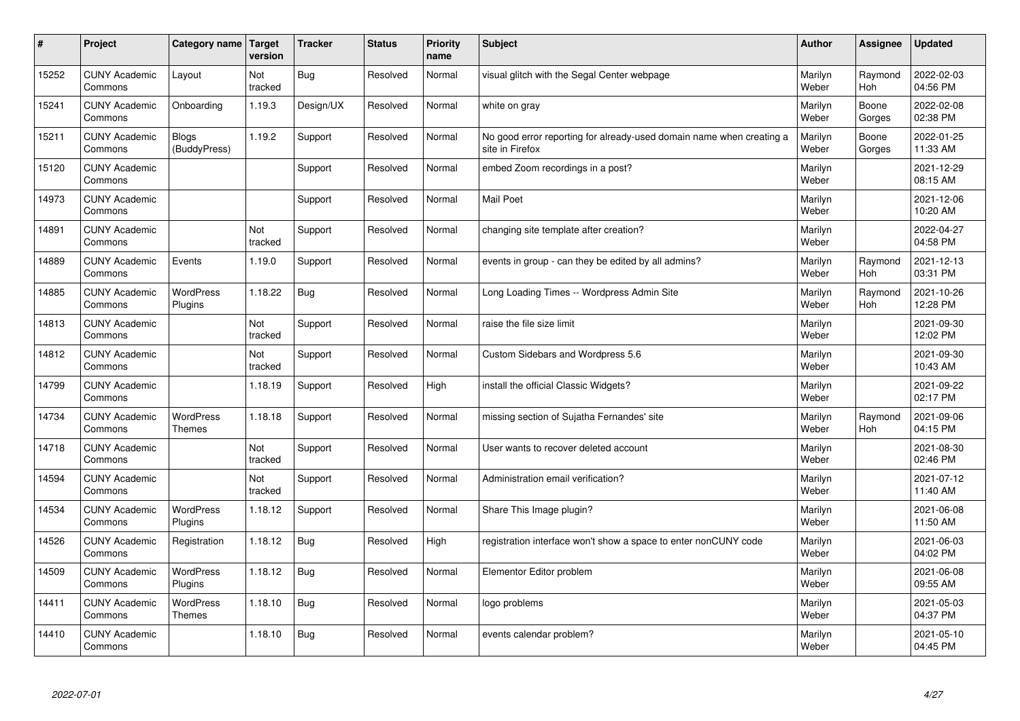| $\vert$ # | Project                         | Category name   Target            | version        | <b>Tracker</b> | <b>Status</b> | <b>Priority</b><br>name | <b>Subject</b>                                                                          | <b>Author</b>    | Assignee              | <b>Updated</b>         |
|-----------|---------------------------------|-----------------------------------|----------------|----------------|---------------|-------------------------|-----------------------------------------------------------------------------------------|------------------|-----------------------|------------------------|
| 15252     | <b>CUNY Academic</b><br>Commons | Layout                            | Not<br>tracked | Bug            | Resolved      | Normal                  | visual glitch with the Segal Center webpage                                             | Marilyn<br>Weber | Raymond<br><b>Hoh</b> | 2022-02-03<br>04:56 PM |
| 15241     | <b>CUNY Academic</b><br>Commons | Onboarding                        | 1.19.3         | Design/UX      | Resolved      | Normal                  | white on gray                                                                           | Marilyn<br>Weber | Boone<br>Gorges       | 2022-02-08<br>02:38 PM |
| 15211     | <b>CUNY Academic</b><br>Commons | Blogs<br>(BuddyPress)             | 1.19.2         | Support        | Resolved      | Normal                  | No good error reporting for already-used domain name when creating a<br>site in Firefox | Marilyn<br>Weber | Boone<br>Gorges       | 2022-01-25<br>11:33 AM |
| 15120     | <b>CUNY Academic</b><br>Commons |                                   |                | Support        | Resolved      | Normal                  | embed Zoom recordings in a post?                                                        | Marilyn<br>Weber |                       | 2021-12-29<br>08:15 AM |
| 14973     | <b>CUNY Academic</b><br>Commons |                                   |                | Support        | Resolved      | Normal                  | <b>Mail Poet</b>                                                                        | Marilyn<br>Weber |                       | 2021-12-06<br>10:20 AM |
| 14891     | <b>CUNY Academic</b><br>Commons |                                   | Not<br>tracked | Support        | Resolved      | Normal                  | changing site template after creation?                                                  | Marilyn<br>Weber |                       | 2022-04-27<br>04:58 PM |
| 14889     | <b>CUNY Academic</b><br>Commons | Events                            | 1.19.0         | Support        | Resolved      | Normal                  | events in group - can they be edited by all admins?                                     | Marilyn<br>Weber | Raymond<br>Hoh        | 2021-12-13<br>03:31 PM |
| 14885     | <b>CUNY Academic</b><br>Commons | WordPress<br>Plugins              | 1.18.22        | <b>Bug</b>     | Resolved      | Normal                  | Long Loading Times -- Wordpress Admin Site                                              | Marilyn<br>Weber | Raymond<br>Hoh        | 2021-10-26<br>12:28 PM |
| 14813     | <b>CUNY Academic</b><br>Commons |                                   | Not<br>tracked | Support        | Resolved      | Normal                  | raise the file size limit                                                               | Marilyn<br>Weber |                       | 2021-09-30<br>12:02 PM |
| 14812     | <b>CUNY Academic</b><br>Commons |                                   | Not<br>tracked | Support        | Resolved      | Normal                  | Custom Sidebars and Wordpress 5.6                                                       | Marilyn<br>Weber |                       | 2021-09-30<br>10:43 AM |
| 14799     | <b>CUNY Academic</b><br>Commons |                                   | 1.18.19        | Support        | Resolved      | High                    | install the official Classic Widgets?                                                   | Marilyn<br>Weber |                       | 2021-09-22<br>02:17 PM |
| 14734     | <b>CUNY Academic</b><br>Commons | <b>WordPress</b><br><b>Themes</b> | 1.18.18        | Support        | Resolved      | Normal                  | missing section of Sujatha Fernandes' site                                              | Marilyn<br>Weber | Raymond<br>Hoh        | 2021-09-06<br>04:15 PM |
| 14718     | <b>CUNY Academic</b><br>Commons |                                   | Not<br>tracked | Support        | Resolved      | Normal                  | User wants to recover deleted account                                                   | Marilyn<br>Weber |                       | 2021-08-30<br>02:46 PM |
| 14594     | <b>CUNY Academic</b><br>Commons |                                   | Not<br>tracked | Support        | Resolved      | Normal                  | Administration email verification?                                                      | Marilyn<br>Weber |                       | 2021-07-12<br>11:40 AM |
| 14534     | <b>CUNY Academic</b><br>Commons | <b>WordPress</b><br>Plugins       | 1.18.12        | Support        | Resolved      | Normal                  | Share This Image plugin?                                                                | Marilyn<br>Weber |                       | 2021-06-08<br>11:50 AM |
| 14526     | <b>CUNY Academic</b><br>Commons | Registration                      | 1.18.12        | Bug            | Resolved      | High                    | registration interface won't show a space to enter nonCUNY code                         | Marilyn<br>Weber |                       | 2021-06-03<br>04:02 PM |
| 14509     | <b>CUNY Academic</b><br>Commons | WordPress<br>Plugins              | 1.18.12        | Bug            | Resolved      | Normal                  | Elementor Editor problem                                                                | Marilyn<br>Weber |                       | 2021-06-08<br>09:55 AM |
| 14411     | <b>CUNY Academic</b><br>Commons | WordPress<br><b>Themes</b>        | 1.18.10        | Bug            | Resolved      | Normal                  | logo problems                                                                           | Marilyn<br>Weber |                       | 2021-05-03<br>04:37 PM |
| 14410     | <b>CUNY Academic</b><br>Commons |                                   | 1.18.10        | Bug            | Resolved      | Normal                  | events calendar problem?                                                                | Marilyn<br>Weber |                       | 2021-05-10<br>04:45 PM |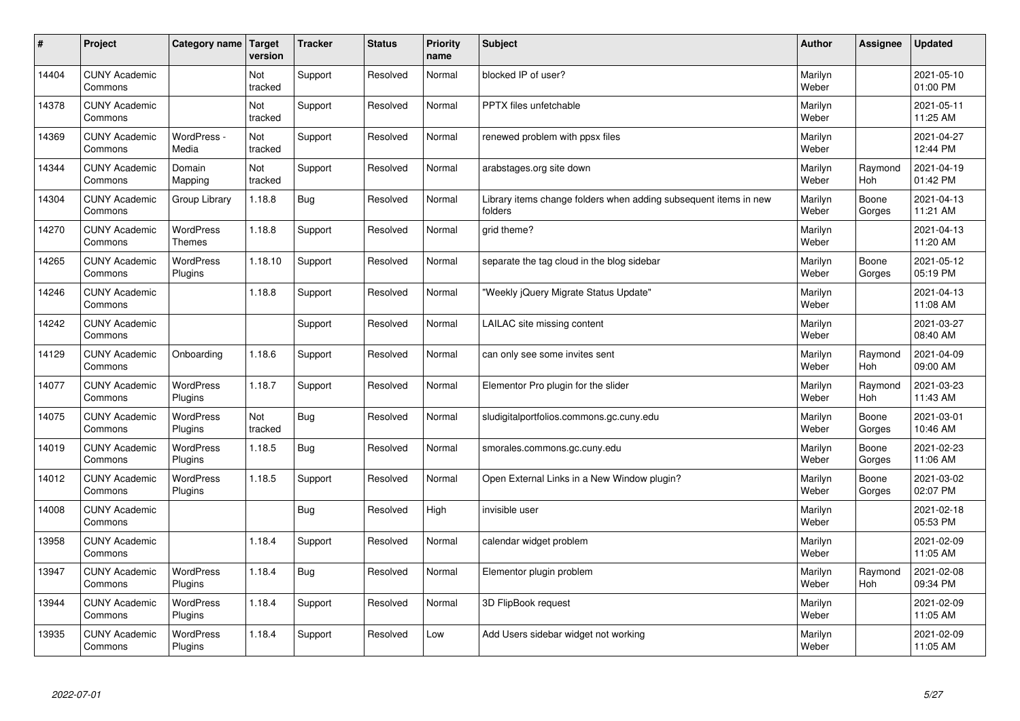| $\sharp$ | Project                         | Category name   Target            | version        | <b>Tracker</b> | <b>Status</b> | <b>Priority</b><br>name | <b>Subject</b>                                                              | <b>Author</b>    | <b>Assignee</b>       | <b>Updated</b>         |
|----------|---------------------------------|-----------------------------------|----------------|----------------|---------------|-------------------------|-----------------------------------------------------------------------------|------------------|-----------------------|------------------------|
| 14404    | <b>CUNY Academic</b><br>Commons |                                   | Not<br>tracked | Support        | Resolved      | Normal                  | blocked IP of user?                                                         | Marilyn<br>Weber |                       | 2021-05-10<br>01:00 PM |
| 14378    | <b>CUNY Academic</b><br>Commons |                                   | Not<br>tracked | Support        | Resolved      | Normal                  | PPTX files unfetchable                                                      | Marilyn<br>Weber |                       | 2021-05-11<br>11:25 AM |
| 14369    | <b>CUNY Academic</b><br>Commons | WordPress -<br>Media              | Not<br>tracked | Support        | Resolved      | Normal                  | renewed problem with ppsx files                                             | Marilyn<br>Weber |                       | 2021-04-27<br>12:44 PM |
| 14344    | <b>CUNY Academic</b><br>Commons | Domain<br>Mapping                 | Not<br>tracked | Support        | Resolved      | Normal                  | arabstages.org site down                                                    | Marilyn<br>Weber | Raymond<br>Hoh        | 2021-04-19<br>01:42 PM |
| 14304    | <b>CUNY Academic</b><br>Commons | Group Library                     | 1.18.8         | Bug            | Resolved      | Normal                  | Library items change folders when adding subsequent items in new<br>folders | Marilyn<br>Weber | Boone<br>Gorges       | 2021-04-13<br>11:21 AM |
| 14270    | <b>CUNY Academic</b><br>Commons | <b>WordPress</b><br><b>Themes</b> | 1.18.8         | Support        | Resolved      | Normal                  | grid theme?                                                                 | Marilyn<br>Weber |                       | 2021-04-13<br>11:20 AM |
| 14265    | <b>CUNY Academic</b><br>Commons | <b>WordPress</b><br>Plugins       | 1.18.10        | Support        | Resolved      | Normal                  | separate the tag cloud in the blog sidebar                                  | Marilyn<br>Weber | Boone<br>Gorges       | 2021-05-12<br>05:19 PM |
| 14246    | <b>CUNY Academic</b><br>Commons |                                   | 1.18.8         | Support        | Resolved      | Normal                  | 'Weekly jQuery Migrate Status Update"                                       | Marilyn<br>Weber |                       | 2021-04-13<br>11:08 AM |
| 14242    | <b>CUNY Academic</b><br>Commons |                                   |                | Support        | Resolved      | Normal                  | LAILAC site missing content                                                 | Marilyn<br>Weber |                       | 2021-03-27<br>08:40 AM |
| 14129    | <b>CUNY Academic</b><br>Commons | Onboarding                        | 1.18.6         | Support        | Resolved      | Normal                  | can only see some invites sent                                              | Marilyn<br>Weber | Raymond<br><b>Hoh</b> | 2021-04-09<br>09:00 AM |
| 14077    | <b>CUNY Academic</b><br>Commons | <b>WordPress</b><br>Plugins       | 1.18.7         | Support        | Resolved      | Normal                  | Elementor Pro plugin for the slider                                         | Marilyn<br>Weber | Raymond<br>Hoh        | 2021-03-23<br>11:43 AM |
| 14075    | <b>CUNY Academic</b><br>Commons | <b>WordPress</b><br>Plugins       | Not<br>tracked | Bug            | Resolved      | Normal                  | sludigitalportfolios.commons.gc.cuny.edu                                    | Marilyn<br>Weber | Boone<br>Gorges       | 2021-03-01<br>10:46 AM |
| 14019    | <b>CUNY Academic</b><br>Commons | <b>WordPress</b><br>Plugins       | 1.18.5         | Bug            | Resolved      | Normal                  | smorales.commons.gc.cuny.edu                                                | Marilyn<br>Weber | Boone<br>Gorges       | 2021-02-23<br>11:06 AM |
| 14012    | <b>CUNY Academic</b><br>Commons | <b>WordPress</b><br>Plugins       | 1.18.5         | Support        | Resolved      | Normal                  | Open External Links in a New Window plugin?                                 | Marilyn<br>Weber | Boone<br>Gorges       | 2021-03-02<br>02:07 PM |
| 14008    | <b>CUNY Academic</b><br>Commons |                                   |                | Bug            | Resolved      | High                    | invisible user                                                              | Marilyn<br>Weber |                       | 2021-02-18<br>05:53 PM |
| 13958    | <b>CUNY Academic</b><br>Commons |                                   | 1.18.4         | Support        | Resolved      | Normal                  | calendar widget problem                                                     | Marilyn<br>Weber |                       | 2021-02-09<br>11:05 AM |
| 13947    | <b>CUNY Academic</b><br>Commons | WordPress<br>Plugins              | 1.18.4         | Bug            | Resolved      | Normal                  | Elementor plugin problem                                                    | Marilyn<br>Weber | Raymond<br>Hoh        | 2021-02-08<br>09:34 PM |
| 13944    | <b>CUNY Academic</b><br>Commons | <b>WordPress</b><br>Plugins       | 1.18.4         | Support        | Resolved      | Normal                  | 3D FlipBook request                                                         | Marilyn<br>Weber |                       | 2021-02-09<br>11:05 AM |
| 13935    | <b>CUNY Academic</b><br>Commons | WordPress<br>Plugins              | 1.18.4         | Support        | Resolved      | Low                     | Add Users sidebar widget not working                                        | Marilyn<br>Weber |                       | 2021-02-09<br>11:05 AM |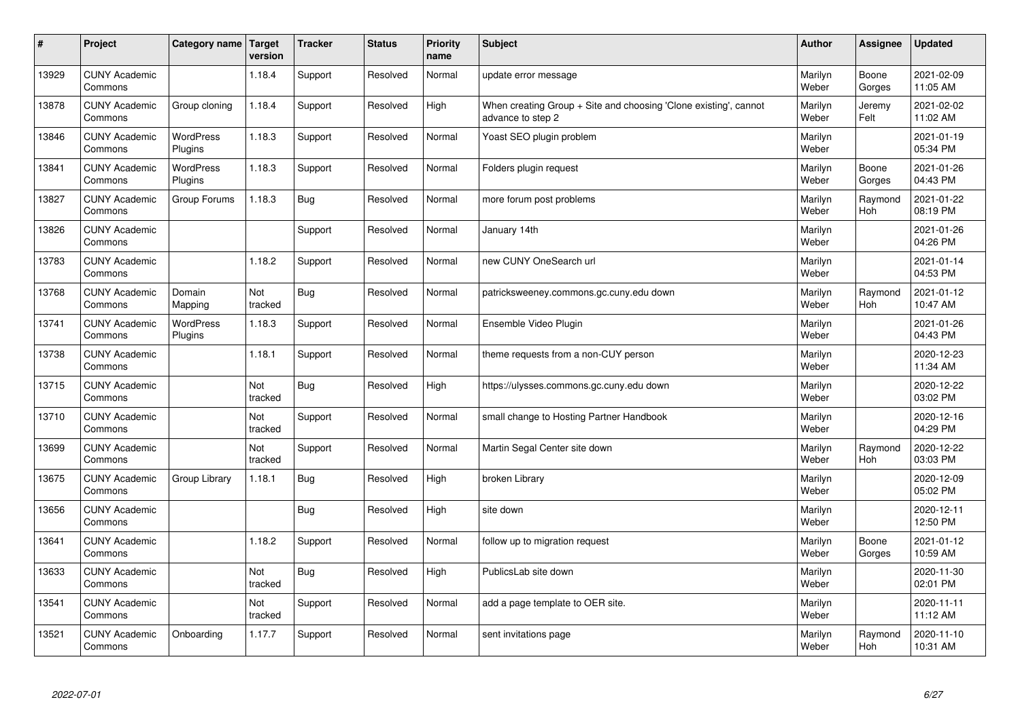| $\sharp$ | Project                         | Category name   Target      | version        | <b>Tracker</b> | <b>Status</b> | <b>Priority</b><br>name | <b>Subject</b>                                                                        | <b>Author</b>    | Assignee              | <b>Updated</b>         |
|----------|---------------------------------|-----------------------------|----------------|----------------|---------------|-------------------------|---------------------------------------------------------------------------------------|------------------|-----------------------|------------------------|
| 13929    | <b>CUNY Academic</b><br>Commons |                             | 1.18.4         | Support        | Resolved      | Normal                  | update error message                                                                  | Marilyn<br>Weber | Boone<br>Gorges       | 2021-02-09<br>11:05 AM |
| 13878    | <b>CUNY Academic</b><br>Commons | Group cloning               | 1.18.4         | Support        | Resolved      | High                    | When creating Group + Site and choosing 'Clone existing', cannot<br>advance to step 2 | Marilyn<br>Weber | Jeremy<br>Felt        | 2021-02-02<br>11:02 AM |
| 13846    | <b>CUNY Academic</b><br>Commons | <b>WordPress</b><br>Plugins | 1.18.3         | Support        | Resolved      | Normal                  | Yoast SEO plugin problem                                                              | Marilyn<br>Weber |                       | 2021-01-19<br>05:34 PM |
| 13841    | <b>CUNY Academic</b><br>Commons | <b>WordPress</b><br>Plugins | 1.18.3         | Support        | Resolved      | Normal                  | Folders plugin request                                                                | Marilyn<br>Weber | Boone<br>Gorges       | 2021-01-26<br>04:43 PM |
| 13827    | <b>CUNY Academic</b><br>Commons | Group Forums                | 1.18.3         | <b>Bug</b>     | Resolved      | Normal                  | more forum post problems                                                              | Marilyn<br>Weber | Raymond<br>Hoh        | 2021-01-22<br>08:19 PM |
| 13826    | <b>CUNY Academic</b><br>Commons |                             |                | Support        | Resolved      | Normal                  | January 14th                                                                          | Marilyn<br>Weber |                       | 2021-01-26<br>04:26 PM |
| 13783    | <b>CUNY Academic</b><br>Commons |                             | 1.18.2         | Support        | Resolved      | Normal                  | new CUNY OneSearch url                                                                | Marilyn<br>Weber |                       | 2021-01-14<br>04:53 PM |
| 13768    | <b>CUNY Academic</b><br>Commons | Domain<br>Mapping           | Not<br>tracked | Bug            | Resolved      | Normal                  | patricksweeney.commons.gc.cuny.edu down                                               | Marilyn<br>Weber | Raymond<br><b>Hoh</b> | 2021-01-12<br>10:47 AM |
| 13741    | <b>CUNY Academic</b><br>Commons | WordPress<br>Plugins        | 1.18.3         | Support        | Resolved      | Normal                  | Ensemble Video Plugin                                                                 | Marilyn<br>Weber |                       | 2021-01-26<br>04:43 PM |
| 13738    | <b>CUNY Academic</b><br>Commons |                             | 1.18.1         | Support        | Resolved      | Normal                  | theme requests from a non-CUY person                                                  | Marilyn<br>Weber |                       | 2020-12-23<br>11:34 AM |
| 13715    | <b>CUNY Academic</b><br>Commons |                             | Not<br>tracked | Bug            | Resolved      | High                    | https://ulysses.commons.gc.cuny.edu down                                              | Marilyn<br>Weber |                       | 2020-12-22<br>03:02 PM |
| 13710    | <b>CUNY Academic</b><br>Commons |                             | Not<br>tracked | Support        | Resolved      | Normal                  | small change to Hosting Partner Handbook                                              | Marilyn<br>Weber |                       | 2020-12-16<br>04:29 PM |
| 13699    | <b>CUNY Academic</b><br>Commons |                             | Not<br>tracked | Support        | Resolved      | Normal                  | Martin Segal Center site down                                                         | Marilyn<br>Weber | Raymond<br>Hoh        | 2020-12-22<br>03:03 PM |
| 13675    | <b>CUNY Academic</b><br>Commons | Group Library               | 1.18.1         | Bug            | Resolved      | High                    | broken Library                                                                        | Marilyn<br>Weber |                       | 2020-12-09<br>05:02 PM |
| 13656    | <b>CUNY Academic</b><br>Commons |                             |                | Bug            | Resolved      | High                    | site down                                                                             | Marilyn<br>Weber |                       | 2020-12-11<br>12:50 PM |
| 13641    | <b>CUNY Academic</b><br>Commons |                             | 1.18.2         | Support        | Resolved      | Normal                  | follow up to migration request                                                        | Marilyn<br>Weber | Boone<br>Gorges       | 2021-01-12<br>10:59 AM |
| 13633    | <b>CUNY Academic</b><br>Commons |                             | Not<br>tracked | Bug            | Resolved      | High                    | PublicsLab site down                                                                  | Marilyn<br>Weber |                       | 2020-11-30<br>02:01 PM |
| 13541    | <b>CUNY Academic</b><br>Commons |                             | Not<br>tracked | Support        | Resolved      | Normal                  | add a page template to OER site.                                                      | Marilyn<br>Weber |                       | 2020-11-11<br>11:12 AM |
| 13521    | <b>CUNY Academic</b><br>Commons | Onboarding                  | 1.17.7         | Support        | Resolved      | Normal                  | sent invitations page                                                                 | Marilyn<br>Weber | Raymond<br>Hoh        | 2020-11-10<br>10:31 AM |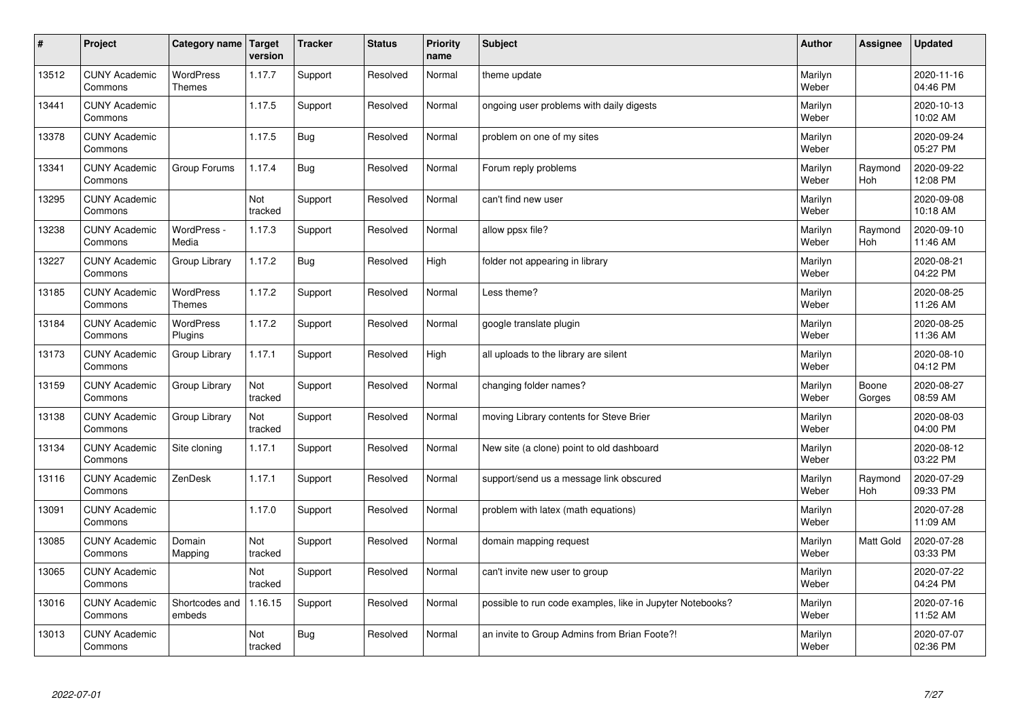| $\sharp$ | Project                         | Category name   Target            | version        | <b>Tracker</b> | <b>Status</b> | <b>Priority</b><br>name | <b>Subject</b>                                            | <b>Author</b>    | Assignee              | <b>Updated</b>         |
|----------|---------------------------------|-----------------------------------|----------------|----------------|---------------|-------------------------|-----------------------------------------------------------|------------------|-----------------------|------------------------|
| 13512    | <b>CUNY Academic</b><br>Commons | <b>WordPress</b><br><b>Themes</b> | 1.17.7         | Support        | Resolved      | Normal                  | theme update                                              | Marilyn<br>Weber |                       | 2020-11-16<br>04:46 PM |
| 13441    | <b>CUNY Academic</b><br>Commons |                                   | 1.17.5         | Support        | Resolved      | Normal                  | ongoing user problems with daily digests                  | Marilyn<br>Weber |                       | 2020-10-13<br>10:02 AM |
| 13378    | <b>CUNY Academic</b><br>Commons |                                   | 1.17.5         | Bug            | Resolved      | Normal                  | problem on one of my sites                                | Marilyn<br>Weber |                       | 2020-09-24<br>05:27 PM |
| 13341    | <b>CUNY Academic</b><br>Commons | Group Forums                      | 1.17.4         | Bug            | Resolved      | Normal                  | Forum reply problems                                      | Marilyn<br>Weber | Raymond<br><b>Hoh</b> | 2020-09-22<br>12:08 PM |
| 13295    | <b>CUNY Academic</b><br>Commons |                                   | Not<br>tracked | Support        | Resolved      | Normal                  | can't find new user                                       | Marilyn<br>Weber |                       | 2020-09-08<br>10:18 AM |
| 13238    | <b>CUNY Academic</b><br>Commons | WordPress -<br>Media              | 1.17.3         | Support        | Resolved      | Normal                  | allow ppsx file?                                          | Marilyn<br>Weber | Raymond<br>Hoh        | 2020-09-10<br>11:46 AM |
| 13227    | <b>CUNY Academic</b><br>Commons | Group Library                     | 1.17.2         | <b>Bug</b>     | Resolved      | High                    | folder not appearing in library                           | Marilyn<br>Weber |                       | 2020-08-21<br>04:22 PM |
| 13185    | <b>CUNY Academic</b><br>Commons | WordPress<br><b>Themes</b>        | 1.17.2         | Support        | Resolved      | Normal                  | Less theme?                                               | Marilyn<br>Weber |                       | 2020-08-25<br>11:26 AM |
| 13184    | <b>CUNY Academic</b><br>Commons | <b>WordPress</b><br>Plugins       | 1.17.2         | Support        | Resolved      | Normal                  | google translate plugin                                   | Marilyn<br>Weber |                       | 2020-08-25<br>11:36 AM |
| 13173    | <b>CUNY Academic</b><br>Commons | Group Library                     | 1.17.1         | Support        | Resolved      | High                    | all uploads to the library are silent                     | Marilyn<br>Weber |                       | 2020-08-10<br>04:12 PM |
| 13159    | <b>CUNY Academic</b><br>Commons | Group Library                     | Not<br>tracked | Support        | Resolved      | Normal                  | changing folder names?                                    | Marilyn<br>Weber | Boone<br>Gorges       | 2020-08-27<br>08:59 AM |
| 13138    | <b>CUNY Academic</b><br>Commons | Group Library                     | Not<br>tracked | Support        | Resolved      | Normal                  | moving Library contents for Steve Brier                   | Marilyn<br>Weber |                       | 2020-08-03<br>04:00 PM |
| 13134    | <b>CUNY Academic</b><br>Commons | Site cloning                      | 1.17.1         | Support        | Resolved      | Normal                  | New site (a clone) point to old dashboard                 | Marilyn<br>Weber |                       | 2020-08-12<br>03:22 PM |
| 13116    | <b>CUNY Academic</b><br>Commons | ZenDesk                           | 1.17.1         | Support        | Resolved      | Normal                  | support/send us a message link obscured                   | Marilyn<br>Weber | Raymond<br><b>Hoh</b> | 2020-07-29<br>09:33 PM |
| 13091    | <b>CUNY Academic</b><br>Commons |                                   | 1.17.0         | Support        | Resolved      | Normal                  | problem with latex (math equations)                       | Marilyn<br>Weber |                       | 2020-07-28<br>11:09 AM |
| 13085    | <b>CUNY Academic</b><br>Commons | Domain<br>Mapping                 | Not<br>tracked | Support        | Resolved      | Normal                  | domain mapping request                                    | Marilyn<br>Weber | <b>Matt Gold</b>      | 2020-07-28<br>03:33 PM |
| 13065    | <b>CUNY Academic</b><br>Commons |                                   | Not<br>tracked | Support        | Resolved      | Normal                  | can't invite new user to group                            | Marilyn<br>Weber |                       | 2020-07-22<br>04:24 PM |
| 13016    | <b>CUNY Academic</b><br>Commons | Shortcodes and<br>embeds          | 1.16.15        | Support        | Resolved      | Normal                  | possible to run code examples, like in Jupyter Notebooks? | Marilyn<br>Weber |                       | 2020-07-16<br>11:52 AM |
| 13013    | <b>CUNY Academic</b><br>Commons |                                   | Not<br>tracked | Bug            | Resolved      | Normal                  | an invite to Group Admins from Brian Foote?!              | Marilyn<br>Weber |                       | 2020-07-07<br>02:36 PM |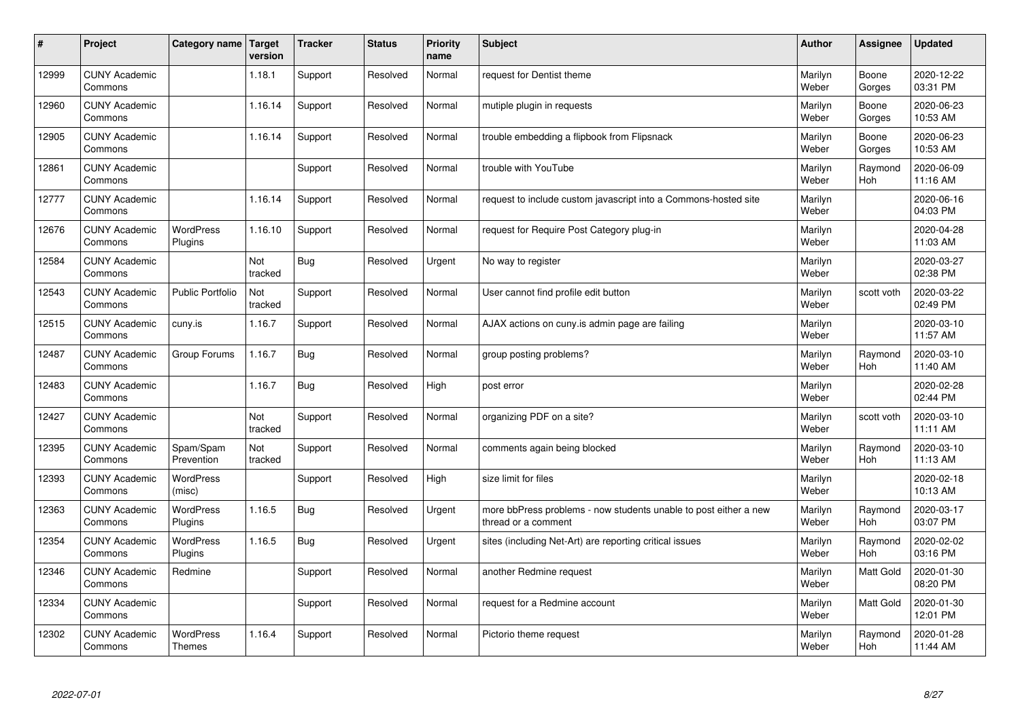| #     | Project                         | Category name   Target      | version        | <b>Tracker</b> | <b>Status</b> | <b>Priority</b><br>name | <b>Subject</b>                                                                          | <b>Author</b>    | Assignee              | <b>Updated</b>         |
|-------|---------------------------------|-----------------------------|----------------|----------------|---------------|-------------------------|-----------------------------------------------------------------------------------------|------------------|-----------------------|------------------------|
| 12999 | <b>CUNY Academic</b><br>Commons |                             | 1.18.1         | Support        | Resolved      | Normal                  | request for Dentist theme                                                               | Marilyn<br>Weber | Boone<br>Gorges       | 2020-12-22<br>03:31 PM |
| 12960 | <b>CUNY Academic</b><br>Commons |                             | 1.16.14        | Support        | Resolved      | Normal                  | mutiple plugin in requests                                                              | Marilyn<br>Weber | Boone<br>Gorges       | 2020-06-23<br>10:53 AM |
| 12905 | <b>CUNY Academic</b><br>Commons |                             | 1.16.14        | Support        | Resolved      | Normal                  | trouble embedding a flipbook from Flipsnack                                             | Marilyn<br>Weber | Boone<br>Gorges       | 2020-06-23<br>10:53 AM |
| 12861 | <b>CUNY Academic</b><br>Commons |                             |                | Support        | Resolved      | Normal                  | trouble with YouTube                                                                    | Marilyn<br>Weber | Raymond<br>Hoh        | 2020-06-09<br>11:16 AM |
| 12777 | <b>CUNY Academic</b><br>Commons |                             | 1.16.14        | Support        | Resolved      | Normal                  | request to include custom javascript into a Commons-hosted site                         | Marilyn<br>Weber |                       | 2020-06-16<br>04:03 PM |
| 12676 | <b>CUNY Academic</b><br>Commons | <b>WordPress</b><br>Plugins | 1.16.10        | Support        | Resolved      | Normal                  | request for Require Post Category plug-in                                               | Marilyn<br>Weber |                       | 2020-04-28<br>11:03 AM |
| 12584 | <b>CUNY Academic</b><br>Commons |                             | Not<br>tracked | Bug            | Resolved      | Urgent                  | No way to register                                                                      | Marilyn<br>Weber |                       | 2020-03-27<br>02:38 PM |
| 12543 | <b>CUNY Academic</b><br>Commons | <b>Public Portfolio</b>     | Not<br>tracked | Support        | Resolved      | Normal                  | User cannot find profile edit button                                                    | Marilyn<br>Weber | scott voth            | 2020-03-22<br>02:49 PM |
| 12515 | <b>CUNY Academic</b><br>Commons | cuny.is                     | 1.16.7         | Support        | Resolved      | Normal                  | AJAX actions on cuny is admin page are failing                                          | Marilyn<br>Weber |                       | 2020-03-10<br>11:57 AM |
| 12487 | <b>CUNY Academic</b><br>Commons | Group Forums                | 1.16.7         | Bug            | Resolved      | Normal                  | group posting problems?                                                                 | Marilyn<br>Weber | Raymond<br><b>Hoh</b> | 2020-03-10<br>11:40 AM |
| 12483 | <b>CUNY Academic</b><br>Commons |                             | 1.16.7         | Bug            | Resolved      | High                    | post error                                                                              | Marilyn<br>Weber |                       | 2020-02-28<br>02:44 PM |
| 12427 | <b>CUNY Academic</b><br>Commons |                             | Not<br>tracked | Support        | Resolved      | Normal                  | organizing PDF on a site?                                                               | Marilyn<br>Weber | scott voth            | 2020-03-10<br>11:11 AM |
| 12395 | <b>CUNY Academic</b><br>Commons | Spam/Spam<br>Prevention     | Not<br>tracked | Support        | Resolved      | Normal                  | comments again being blocked                                                            | Marilyn<br>Weber | Raymond<br>Hoh        | 2020-03-10<br>11:13 AM |
| 12393 | <b>CUNY Academic</b><br>Commons | WordPress<br>(misc)         |                | Support        | Resolved      | High                    | size limit for files                                                                    | Marilyn<br>Weber |                       | 2020-02-18<br>10:13 AM |
| 12363 | <b>CUNY Academic</b><br>Commons | WordPress<br>Plugins        | 1.16.5         | <b>Bug</b>     | Resolved      | Urgent                  | more bbPress problems - now students unable to post either a new<br>thread or a comment | Marilyn<br>Weber | Raymond<br><b>Hoh</b> | 2020-03-17<br>03:07 PM |
| 12354 | <b>CUNY Academic</b><br>Commons | <b>WordPress</b><br>Plugins | 1.16.5         | Bug            | Resolved      | Urgent                  | sites (including Net-Art) are reporting critical issues                                 | Marilyn<br>Weber | Raymond<br><b>Hoh</b> | 2020-02-02<br>03:16 PM |
| 12346 | <b>CUNY Academic</b><br>Commons | Redmine                     |                | Support        | Resolved      | Normal                  | another Redmine request                                                                 | Marilyn<br>Weber | <b>Matt Gold</b>      | 2020-01-30<br>08:20 PM |
| 12334 | <b>CUNY Academic</b><br>Commons |                             |                | Support        | Resolved      | Normal                  | request for a Redmine account                                                           | Marilyn<br>Weber | Matt Gold             | 2020-01-30<br>12:01 PM |
| 12302 | <b>CUNY Academic</b><br>Commons | WordPress<br><b>Themes</b>  | 1.16.4         | Support        | Resolved      | Normal                  | Pictorio theme request                                                                  | Marilyn<br>Weber | Raymond<br>Hoh        | 2020-01-28<br>11:44 AM |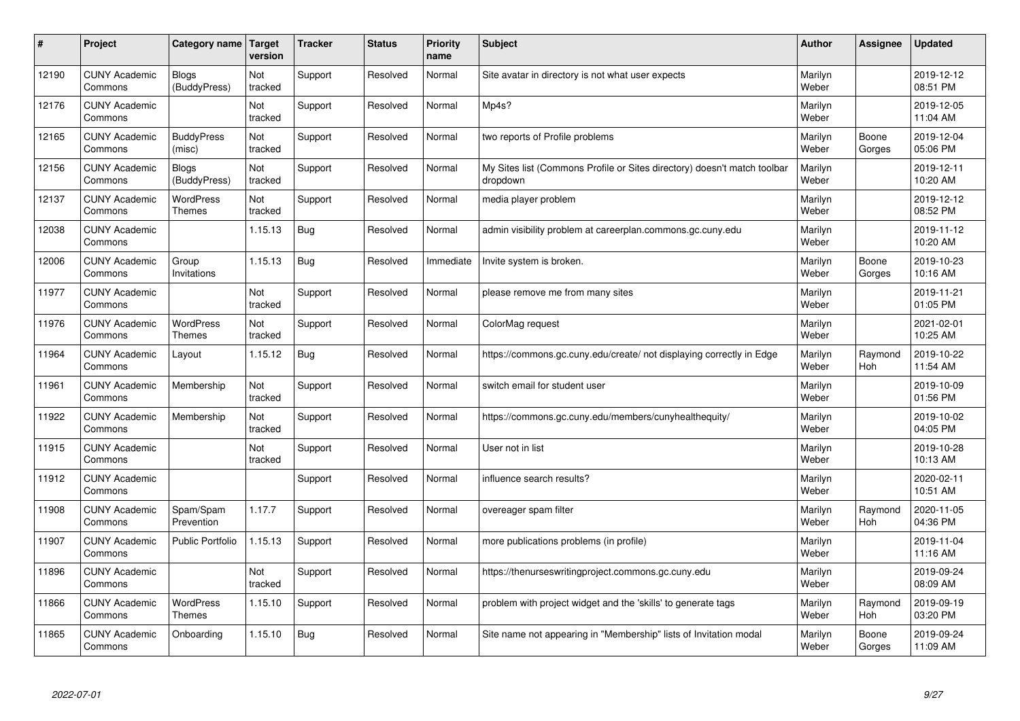| #     | Project                         | Category name   Target            | version        | <b>Tracker</b> | <b>Status</b> | <b>Priority</b><br>name | <b>Subject</b>                                                                       | <b>Author</b>    | Assignee        | <b>Updated</b>         |
|-------|---------------------------------|-----------------------------------|----------------|----------------|---------------|-------------------------|--------------------------------------------------------------------------------------|------------------|-----------------|------------------------|
| 12190 | <b>CUNY Academic</b><br>Commons | <b>Blogs</b><br>(BuddyPress)      | Not<br>tracked | Support        | Resolved      | Normal                  | Site avatar in directory is not what user expects                                    | Marilyn<br>Weber |                 | 2019-12-12<br>08:51 PM |
| 12176 | <b>CUNY Academic</b><br>Commons |                                   | Not<br>tracked | Support        | Resolved      | Normal                  | Mp4s?                                                                                | Marilyn<br>Weber |                 | 2019-12-05<br>11:04 AM |
| 12165 | <b>CUNY Academic</b><br>Commons | <b>BuddyPress</b><br>(misc)       | Not<br>tracked | Support        | Resolved      | Normal                  | two reports of Profile problems                                                      | Marilyn<br>Weber | Boone<br>Gorges | 2019-12-04<br>05:06 PM |
| 12156 | <b>CUNY Academic</b><br>Commons | Blogs<br>(BuddyPress)             | Not<br>tracked | Support        | Resolved      | Normal                  | My Sites list (Commons Profile or Sites directory) doesn't match toolbar<br>dropdown | Marilyn<br>Weber |                 | 2019-12-11<br>10:20 AM |
| 12137 | <b>CUNY Academic</b><br>Commons | <b>WordPress</b><br><b>Themes</b> | Not<br>tracked | Support        | Resolved      | Normal                  | media player problem                                                                 | Marilyn<br>Weber |                 | 2019-12-12<br>08:52 PM |
| 12038 | <b>CUNY Academic</b><br>Commons |                                   | 1.15.13        | Bug            | Resolved      | Normal                  | admin visibility problem at careerplan.commons.gc.cuny.edu                           | Marilyn<br>Weber |                 | 2019-11-12<br>10:20 AM |
| 12006 | <b>CUNY Academic</b><br>Commons | Group<br>Invitations              | 1.15.13        | <b>Bug</b>     | Resolved      | Immediate               | Invite system is broken.                                                             | Marilyn<br>Weber | Boone<br>Gorges | 2019-10-23<br>10:16 AM |
| 11977 | <b>CUNY Academic</b><br>Commons |                                   | Not<br>tracked | Support        | Resolved      | Normal                  | please remove me from many sites                                                     | Marilyn<br>Weber |                 | 2019-11-21<br>01:05 PM |
| 11976 | <b>CUNY Academic</b><br>Commons | <b>WordPress</b><br><b>Themes</b> | Not<br>tracked | Support        | Resolved      | Normal                  | ColorMag request                                                                     | Marilyn<br>Weber |                 | 2021-02-01<br>10:25 AM |
| 11964 | <b>CUNY Academic</b><br>Commons | Layout                            | 1.15.12        | Bug            | Resolved      | Normal                  | https://commons.gc.cuny.edu/create/ not displaying correctly in Edge                 | Marilyn<br>Weber | Raymond<br>Hoh  | 2019-10-22<br>11:54 AM |
| 11961 | <b>CUNY Academic</b><br>Commons | Membership                        | Not<br>tracked | Support        | Resolved      | Normal                  | switch email for student user                                                        | Marilyn<br>Weber |                 | 2019-10-09<br>01:56 PM |
| 11922 | <b>CUNY Academic</b><br>Commons | Membership                        | Not<br>tracked | Support        | Resolved      | Normal                  | https://commons.gc.cuny.edu/members/cunyhealthequity/                                | Marilyn<br>Weber |                 | 2019-10-02<br>04:05 PM |
| 11915 | <b>CUNY Academic</b><br>Commons |                                   | Not<br>tracked | Support        | Resolved      | Normal                  | User not in list                                                                     | Marilyn<br>Weber |                 | 2019-10-28<br>10:13 AM |
| 11912 | <b>CUNY Academic</b><br>Commons |                                   |                | Support        | Resolved      | Normal                  | influence search results?                                                            | Marilyn<br>Weber |                 | 2020-02-11<br>10:51 AM |
| 11908 | <b>CUNY Academic</b><br>Commons | Spam/Spam<br>Prevention           | 1.17.7         | Support        | Resolved      | Normal                  | overeager spam filter                                                                | Marilyn<br>Weber | Raymond<br>Hoh  | 2020-11-05<br>04:36 PM |
| 11907 | <b>CUNY Academic</b><br>Commons | <b>Public Portfolio</b>           | 1.15.13        | Support        | Resolved      | Normal                  | more publications problems (in profile)                                              | Marilyn<br>Weber |                 | 2019-11-04<br>11:16 AM |
| 11896 | <b>CUNY Academic</b><br>Commons |                                   | Not<br>tracked | Support        | Resolved      | Normal                  | https://thenurseswritingproject.commons.gc.cuny.edu                                  | Marilyn<br>Weber |                 | 2019-09-24<br>08:09 AM |
| 11866 | <b>CUNY Academic</b><br>Commons | <b>WordPress</b><br><b>Themes</b> | 1.15.10        | Support        | Resolved      | Normal                  | problem with project widget and the 'skills' to generate tags                        | Marilyn<br>Weber | Raymond<br>Hoh  | 2019-09-19<br>03:20 PM |
| 11865 | <b>CUNY Academic</b><br>Commons | Onboarding                        | 1.15.10        | Bug            | Resolved      | Normal                  | Site name not appearing in "Membership" lists of Invitation modal                    | Marilyn<br>Weber | Boone<br>Gorges | 2019-09-24<br>11:09 AM |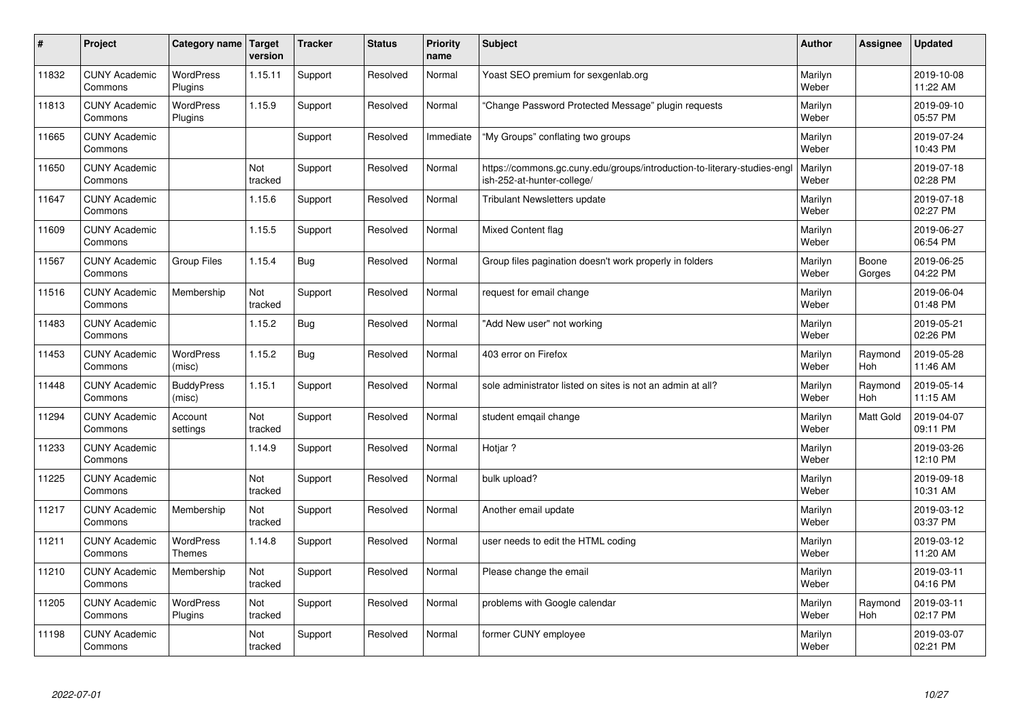| $\pmb{\#}$ | Project                         | Category name                     | Target<br>version | <b>Tracker</b> | <b>Status</b> | <b>Priority</b><br>name | <b>Subject</b>                                                                                         | <b>Author</b>    | Assignee        | <b>Updated</b>         |
|------------|---------------------------------|-----------------------------------|-------------------|----------------|---------------|-------------------------|--------------------------------------------------------------------------------------------------------|------------------|-----------------|------------------------|
| 11832      | <b>CUNY Academic</b><br>Commons | <b>WordPress</b><br>Plugins       | 1.15.11           | Support        | Resolved      | Normal                  | Yoast SEO premium for sexgenlab.org                                                                    | Marilyn<br>Weber |                 | 2019-10-08<br>11:22 AM |
| 11813      | <b>CUNY Academic</b><br>Commons | <b>WordPress</b><br>Plugins       | 1.15.9            | Support        | Resolved      | Normal                  | 'Change Password Protected Message" plugin reguests                                                    | Marilyn<br>Weber |                 | 2019-09-10<br>05:57 PM |
| 11665      | <b>CUNY Academic</b><br>Commons |                                   |                   | Support        | Resolved      | Immediate               | "My Groups" conflating two groups                                                                      | Marilyn<br>Weber |                 | 2019-07-24<br>10:43 PM |
| 11650      | <b>CUNY Academic</b><br>Commons |                                   | Not<br>tracked    | Support        | Resolved      | Normal                  | https://commons.gc.cuny.edu/groups/introduction-to-literary-studies-engl<br>ish-252-at-hunter-college/ | Marilyn<br>Weber |                 | 2019-07-18<br>02:28 PM |
| 11647      | <b>CUNY Academic</b><br>Commons |                                   | 1.15.6            | Support        | Resolved      | Normal                  | Tribulant Newsletters update                                                                           | Marilyn<br>Weber |                 | 2019-07-18<br>02:27 PM |
| 11609      | <b>CUNY Academic</b><br>Commons |                                   | 1.15.5            | Support        | Resolved      | Normal                  | Mixed Content flag                                                                                     | Marilyn<br>Weber |                 | 2019-06-27<br>06:54 PM |
| 11567      | <b>CUNY Academic</b><br>Commons | <b>Group Files</b>                | 1.15.4            | <b>Bug</b>     | Resolved      | Normal                  | Group files pagination doesn't work properly in folders                                                | Marilyn<br>Weber | Boone<br>Gorges | 2019-06-25<br>04:22 PM |
| 11516      | <b>CUNY Academic</b><br>Commons | Membership                        | Not<br>tracked    | Support        | Resolved      | Normal                  | request for email change                                                                               | Marilyn<br>Weber |                 | 2019-06-04<br>01:48 PM |
| 11483      | <b>CUNY Academic</b><br>Commons |                                   | 1.15.2            | Bug            | Resolved      | Normal                  | "Add New user" not working                                                                             | Marilyn<br>Weber |                 | 2019-05-21<br>02:26 PM |
| 11453      | <b>CUNY Academic</b><br>Commons | <b>WordPress</b><br>(misc)        | 1.15.2            | <b>Bug</b>     | Resolved      | Normal                  | 403 error on Firefox                                                                                   | Marilyn<br>Weber | Raymond<br>Hoh  | 2019-05-28<br>11:46 AM |
| 11448      | <b>CUNY Academic</b><br>Commons | <b>BuddyPress</b><br>(misc)       | 1.15.1            | Support        | Resolved      | Normal                  | sole administrator listed on sites is not an admin at all?                                             | Marilyn<br>Weber | Raymond<br>Hoh  | 2019-05-14<br>11:15 AM |
| 11294      | <b>CUNY Academic</b><br>Commons | Account<br>settings               | Not<br>tracked    | Support        | Resolved      | Normal                  | student emgail change                                                                                  | Marilyn<br>Weber | Matt Gold       | 2019-04-07<br>09:11 PM |
| 11233      | <b>CUNY Academic</b><br>Commons |                                   | 1.14.9            | Support        | Resolved      | Normal                  | Hotjar ?                                                                                               | Marilyn<br>Weber |                 | 2019-03-26<br>12:10 PM |
| 11225      | <b>CUNY Academic</b><br>Commons |                                   | Not<br>tracked    | Support        | Resolved      | Normal                  | bulk upload?                                                                                           | Marilyn<br>Weber |                 | 2019-09-18<br>10:31 AM |
| 11217      | <b>CUNY Academic</b><br>Commons | Membership                        | Not<br>tracked    | Support        | Resolved      | Normal                  | Another email update                                                                                   | Marilyn<br>Weber |                 | 2019-03-12<br>03:37 PM |
| 11211      | <b>CUNY Academic</b><br>Commons | <b>WordPress</b><br><b>Themes</b> | 1.14.8            | Support        | Resolved      | Normal                  | user needs to edit the HTML coding                                                                     | Marilyn<br>Weber |                 | 2019-03-12<br>11:20 AM |
| 11210      | <b>CUNY Academic</b><br>Commons | Membership                        | Not<br>tracked    | Support        | Resolved      | Normal                  | Please change the email                                                                                | Marilyn<br>Weber |                 | 2019-03-11<br>04:16 PM |
| 11205      | <b>CUNY Academic</b><br>Commons | <b>WordPress</b><br>Plugins       | Not<br>tracked    | Support        | Resolved      | Normal                  | problems with Google calendar                                                                          | Marilyn<br>Weber | Raymond<br>Hoh  | 2019-03-11<br>02:17 PM |
| 11198      | <b>CUNY Academic</b><br>Commons |                                   | Not<br>tracked    | Support        | Resolved      | Normal                  | former CUNY employee                                                                                   | Marilyn<br>Weber |                 | 2019-03-07<br>02:21 PM |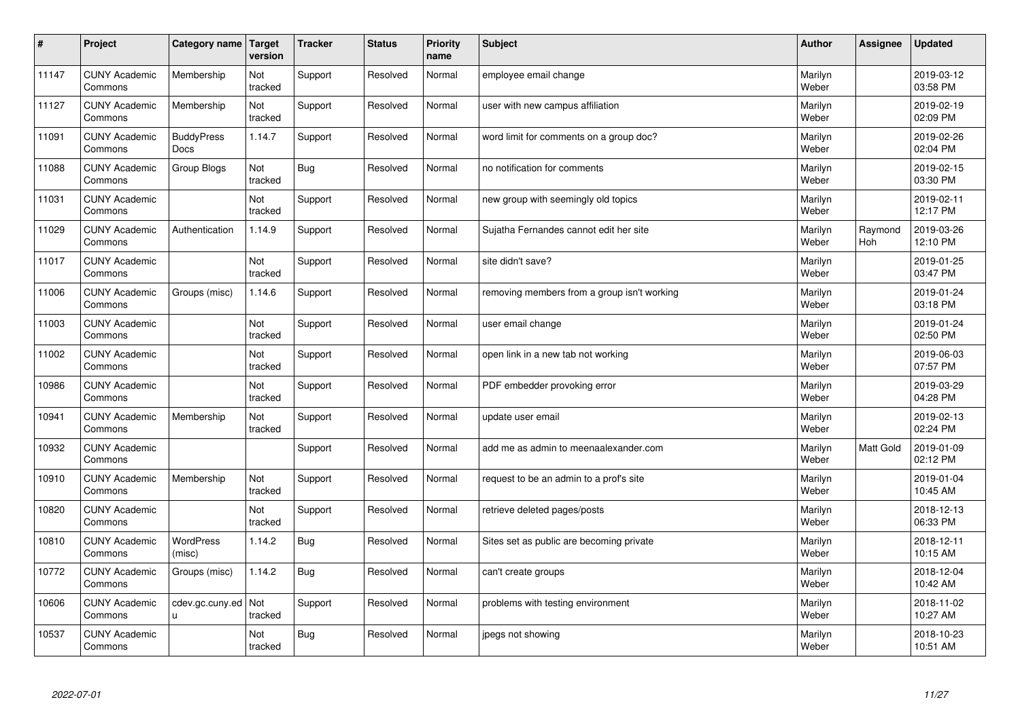| $\vert$ # | Project                         | Category name                    | Target<br>version     | <b>Tracker</b> | <b>Status</b> | <b>Priority</b><br>name | <b>Subject</b>                              | <b>Author</b>    | Assignee       | <b>Updated</b>         |
|-----------|---------------------------------|----------------------------------|-----------------------|----------------|---------------|-------------------------|---------------------------------------------|------------------|----------------|------------------------|
| 11147     | <b>CUNY Academic</b><br>Commons | Membership                       | Not<br>tracked        | Support        | Resolved      | Normal                  | employee email change                       | Marilyn<br>Weber |                | 2019-03-12<br>03:58 PM |
| 11127     | <b>CUNY Academic</b><br>Commons | Membership                       | Not<br>tracked        | Support        | Resolved      | Normal                  | user with new campus affiliation            | Marilyn<br>Weber |                | 2019-02-19<br>02:09 PM |
| 11091     | <b>CUNY Academic</b><br>Commons | <b>BuddyPress</b><br><b>Docs</b> | 1.14.7                | Support        | Resolved      | Normal                  | word limit for comments on a group doc?     | Marilyn<br>Weber |                | 2019-02-26<br>02:04 PM |
| 11088     | <b>CUNY Academic</b><br>Commons | Group Blogs                      | Not<br>tracked        | <b>Bug</b>     | Resolved      | Normal                  | no notification for comments                | Marilyn<br>Weber |                | 2019-02-15<br>03:30 PM |
| 11031     | <b>CUNY Academic</b><br>Commons |                                  | Not<br>tracked        | Support        | Resolved      | Normal                  | new group with seemingly old topics         | Marilyn<br>Weber |                | 2019-02-11<br>12:17 PM |
| 11029     | <b>CUNY Academic</b><br>Commons | Authentication                   | 1.14.9                | Support        | Resolved      | Normal                  | Sujatha Fernandes cannot edit her site      | Marilyn<br>Weber | Raymond<br>Hoh | 2019-03-26<br>12:10 PM |
| 11017     | <b>CUNY Academic</b><br>Commons |                                  | Not<br>tracked        | Support        | Resolved      | Normal                  | site didn't save?                           | Marilyn<br>Weber |                | 2019-01-25<br>03:47 PM |
| 11006     | <b>CUNY Academic</b><br>Commons | Groups (misc)                    | 1.14.6                | Support        | Resolved      | Normal                  | removing members from a group isn't working | Marilyn<br>Weber |                | 2019-01-24<br>03:18 PM |
| 11003     | <b>CUNY Academic</b><br>Commons |                                  | Not<br>tracked        | Support        | Resolved      | Normal                  | user email change                           | Marilyn<br>Weber |                | 2019-01-24<br>02:50 PM |
| 11002     | <b>CUNY Academic</b><br>Commons |                                  | Not<br>tracked        | Support        | Resolved      | Normal                  | open link in a new tab not working          | Marilyn<br>Weber |                | 2019-06-03<br>07:57 PM |
| 10986     | <b>CUNY Academic</b><br>Commons |                                  | Not<br>tracked        | Support        | Resolved      | Normal                  | PDF embedder provoking error                | Marilyn<br>Weber |                | 2019-03-29<br>04:28 PM |
| 10941     | <b>CUNY Academic</b><br>Commons | Membership                       | Not<br>tracked        | Support        | Resolved      | Normal                  | update user email                           | Marilyn<br>Weber |                | 2019-02-13<br>02:24 PM |
| 10932     | <b>CUNY Academic</b><br>Commons |                                  |                       | Support        | Resolved      | Normal                  | add me as admin to meenaalexander.com       | Marilyn<br>Weber | Matt Gold      | 2019-01-09<br>02:12 PM |
| 10910     | <b>CUNY Academic</b><br>Commons | Membership                       | Not<br>tracked        | Support        | Resolved      | Normal                  | request to be an admin to a prof's site     | Marilyn<br>Weber |                | 2019-01-04<br>10:45 AM |
| 10820     | <b>CUNY Academic</b><br>Commons |                                  | Not<br>tracked        | Support        | Resolved      | Normal                  | retrieve deleted pages/posts                | Marilyn<br>Weber |                | 2018-12-13<br>06:33 PM |
| 10810     | <b>CUNY Academic</b><br>Commons | WordPress<br>(misc)              | 1.14.2                | <b>Bug</b>     | Resolved      | Normal                  | Sites set as public are becoming private    | Marilyn<br>Weber |                | 2018-12-11<br>10:15 AM |
| 10772     | <b>CUNY Academic</b><br>Commons | Groups (misc)                    | 1.14.2                | <b>Bug</b>     | Resolved      | Normal                  | can't create groups                         | Marilyn<br>Weber |                | 2018-12-04<br>10:42 AM |
| 10606     | <b>CUNY Academic</b><br>Commons | cdev.gc.cuny.ed<br>П             | <b>Not</b><br>tracked | Support        | Resolved      | Normal                  | problems with testing environment           | Marilyn<br>Weber |                | 2018-11-02<br>10:27 AM |
| 10537     | <b>CUNY Academic</b><br>Commons |                                  | Not<br>tracked        | Bug            | Resolved      | Normal                  | jpegs not showing                           | Marilyn<br>Weber |                | 2018-10-23<br>10:51 AM |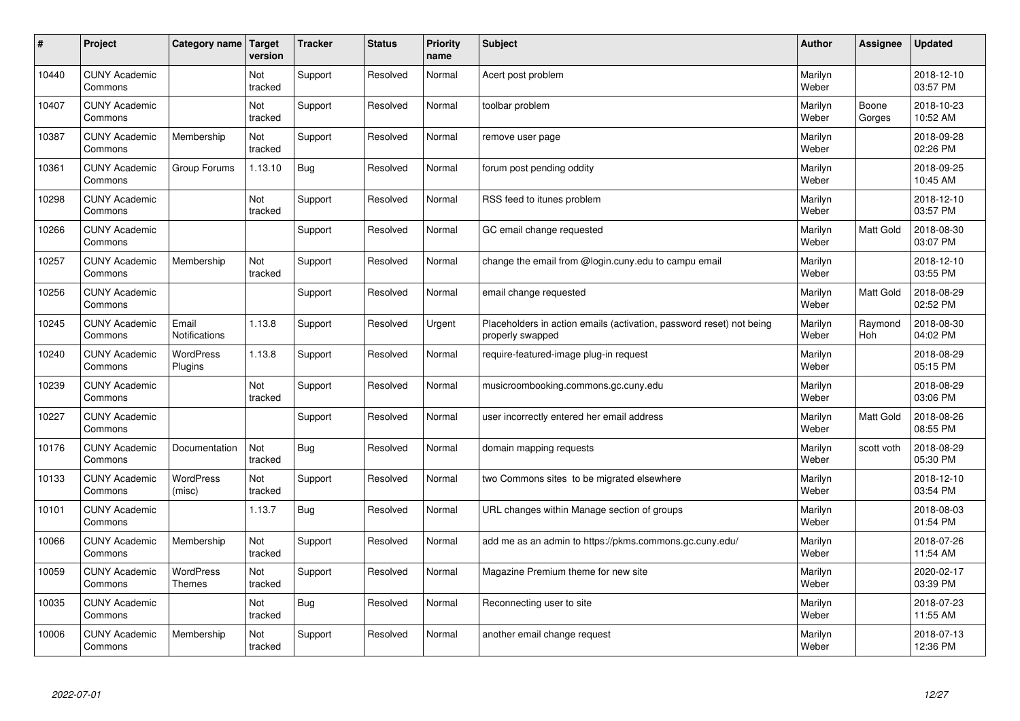| #     | Project                         | Category name                 | Target<br>version | <b>Tracker</b> | <b>Status</b> | <b>Priority</b><br>name | <b>Subject</b>                                                                           | <b>Author</b>    | Assignee              | <b>Updated</b>         |
|-------|---------------------------------|-------------------------------|-------------------|----------------|---------------|-------------------------|------------------------------------------------------------------------------------------|------------------|-----------------------|------------------------|
| 10440 | <b>CUNY Academic</b><br>Commons |                               | Not<br>tracked    | Support        | Resolved      | Normal                  | Acert post problem                                                                       | Marilyn<br>Weber |                       | 2018-12-10<br>03:57 PM |
| 10407 | <b>CUNY Academic</b><br>Commons |                               | Not<br>tracked    | Support        | Resolved      | Normal                  | toolbar problem                                                                          | Marilyn<br>Weber | Boone<br>Gorges       | 2018-10-23<br>10:52 AM |
| 10387 | <b>CUNY Academic</b><br>Commons | Membership                    | Not<br>tracked    | Support        | Resolved      | Normal                  | remove user page                                                                         | Marilyn<br>Weber |                       | 2018-09-28<br>02:26 PM |
| 10361 | <b>CUNY Academic</b><br>Commons | Group Forums                  | 1.13.10           | <b>Bug</b>     | Resolved      | Normal                  | forum post pending oddity                                                                | Marilyn<br>Weber |                       | 2018-09-25<br>10:45 AM |
| 10298 | <b>CUNY Academic</b><br>Commons |                               | Not<br>tracked    | Support        | Resolved      | Normal                  | RSS feed to itunes problem                                                               | Marilyn<br>Weber |                       | 2018-12-10<br>03:57 PM |
| 10266 | <b>CUNY Academic</b><br>Commons |                               |                   | Support        | Resolved      | Normal                  | GC email change requested                                                                | Marilyn<br>Weber | <b>Matt Gold</b>      | 2018-08-30<br>03:07 PM |
| 10257 | <b>CUNY Academic</b><br>Commons | Membership                    | Not<br>tracked    | Support        | Resolved      | Normal                  | change the email from @login.cuny.edu to campu email                                     | Marilyn<br>Weber |                       | 2018-12-10<br>03:55 PM |
| 10256 | <b>CUNY Academic</b><br>Commons |                               |                   | Support        | Resolved      | Normal                  | email change requested                                                                   | Marilyn<br>Weber | Matt Gold             | 2018-08-29<br>02:52 PM |
| 10245 | <b>CUNY Academic</b><br>Commons | Email<br><b>Notifications</b> | 1.13.8            | Support        | Resolved      | Urgent                  | Placeholders in action emails (activation, password reset) not being<br>properly swapped | Marilyn<br>Weber | Raymond<br><b>Hoh</b> | 2018-08-30<br>04:02 PM |
| 10240 | <b>CUNY Academic</b><br>Commons | WordPress<br>Plugins          | 1.13.8            | Support        | Resolved      | Normal                  | require-featured-image plug-in request                                                   | Marilyn<br>Weber |                       | 2018-08-29<br>05:15 PM |
| 10239 | <b>CUNY Academic</b><br>Commons |                               | Not<br>tracked    | Support        | Resolved      | Normal                  | musicroombooking.commons.gc.cuny.edu                                                     | Marilyn<br>Weber |                       | 2018-08-29<br>03:06 PM |
| 10227 | <b>CUNY Academic</b><br>Commons |                               |                   | Support        | Resolved      | Normal                  | user incorrectly entered her email address                                               | Marilyn<br>Weber | <b>Matt Gold</b>      | 2018-08-26<br>08:55 PM |
| 10176 | <b>CUNY Academic</b><br>Commons | Documentation                 | Not<br>tracked    | <b>Bug</b>     | Resolved      | Normal                  | domain mapping requests                                                                  | Marilyn<br>Weber | scott voth            | 2018-08-29<br>05:30 PM |
| 10133 | <b>CUNY Academic</b><br>Commons | <b>WordPress</b><br>(misc)    | Not<br>tracked    | Support        | Resolved      | Normal                  | two Commons sites to be migrated elsewhere                                               | Marilyn<br>Weber |                       | 2018-12-10<br>03:54 PM |
| 10101 | <b>CUNY Academic</b><br>Commons |                               | 1.13.7            | <b>Bug</b>     | Resolved      | Normal                  | URL changes within Manage section of groups                                              | Marilyn<br>Weber |                       | 2018-08-03<br>01:54 PM |
| 10066 | <b>CUNY Academic</b><br>Commons | Membership                    | Not<br>tracked    | Support        | Resolved      | Normal                  | add me as an admin to https://pkms.commons.gc.cuny.edu/                                  | Marilyn<br>Weber |                       | 2018-07-26<br>11:54 AM |
| 10059 | <b>CUNY Academic</b><br>Commons | WordPress<br>Themes           | Not<br>tracked    | Support        | Resolved      | Normal                  | Magazine Premium theme for new site                                                      | Marilyn<br>Weber |                       | 2020-02-17<br>03:39 PM |
| 10035 | <b>CUNY Academic</b><br>Commons |                               | Not<br>tracked    | <b>Bug</b>     | Resolved      | Normal                  | Reconnecting user to site                                                                | Marilyn<br>Weber |                       | 2018-07-23<br>11:55 AM |
| 10006 | <b>CUNY Academic</b><br>Commons | Membership                    | Not<br>tracked    | Support        | Resolved      | Normal                  | another email change request                                                             | Marilyn<br>Weber |                       | 2018-07-13<br>12:36 PM |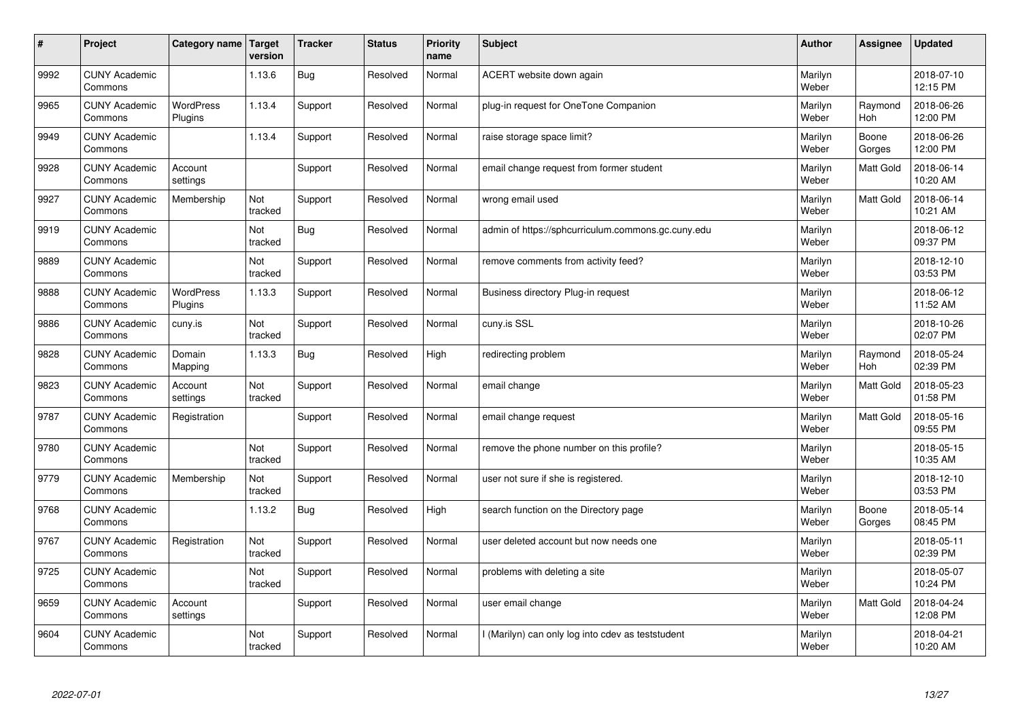| #    | Project                         | Category name               | Target<br>version | <b>Tracker</b> | <b>Status</b> | <b>Priority</b><br>name | <b>Subject</b>                                     | <b>Author</b>    | Assignee         | <b>Updated</b>         |
|------|---------------------------------|-----------------------------|-------------------|----------------|---------------|-------------------------|----------------------------------------------------|------------------|------------------|------------------------|
| 9992 | <b>CUNY Academic</b><br>Commons |                             | 1.13.6            | Bug            | Resolved      | Normal                  | ACERT website down again                           | Marilyn<br>Weber |                  | 2018-07-10<br>12:15 PM |
| 9965 | <b>CUNY Academic</b><br>Commons | <b>WordPress</b><br>Plugins | 1.13.4            | Support        | Resolved      | Normal                  | plug-in request for OneTone Companion              | Marilyn<br>Weber | Raymond<br>Hoh   | 2018-06-26<br>12:00 PM |
| 9949 | <b>CUNY Academic</b><br>Commons |                             | 1.13.4            | Support        | Resolved      | Normal                  | raise storage space limit?                         | Marilyn<br>Weber | Boone<br>Gorges  | 2018-06-26<br>12:00 PM |
| 9928 | <b>CUNY Academic</b><br>Commons | Account<br>settings         |                   | Support        | Resolved      | Normal                  | email change request from former student           | Marilyn<br>Weber | Matt Gold        | 2018-06-14<br>10:20 AM |
| 9927 | <b>CUNY Academic</b><br>Commons | Membership                  | Not<br>tracked    | Support        | Resolved      | Normal                  | wrong email used                                   | Marilyn<br>Weber | Matt Gold        | 2018-06-14<br>10:21 AM |
| 9919 | <b>CUNY Academic</b><br>Commons |                             | Not<br>tracked    | Bug            | Resolved      | Normal                  | admin of https://sphcurriculum.commons.gc.cuny.edu | Marilyn<br>Weber |                  | 2018-06-12<br>09:37 PM |
| 9889 | <b>CUNY Academic</b><br>Commons |                             | Not<br>tracked    | Support        | Resolved      | Normal                  | remove comments from activity feed?                | Marilyn<br>Weber |                  | 2018-12-10<br>03:53 PM |
| 9888 | <b>CUNY Academic</b><br>Commons | <b>WordPress</b><br>Plugins | 1.13.3            | Support        | Resolved      | Normal                  | Business directory Plug-in request                 | Marilyn<br>Weber |                  | 2018-06-12<br>11:52 AM |
| 9886 | <b>CUNY Academic</b><br>Commons | cuny.is                     | Not<br>tracked    | Support        | Resolved      | Normal                  | cuny.is SSL                                        | Marilyn<br>Weber |                  | 2018-10-26<br>02:07 PM |
| 9828 | <b>CUNY Academic</b><br>Commons | Domain<br>Mapping           | 1.13.3            | <b>Bug</b>     | Resolved      | High                    | redirecting problem                                | Marilyn<br>Weber | Raymond<br>Hoh   | 2018-05-24<br>02:39 PM |
| 9823 | <b>CUNY Academic</b><br>Commons | Account<br>settings         | Not<br>tracked    | Support        | Resolved      | Normal                  | email change                                       | Marilyn<br>Weber | Matt Gold        | 2018-05-23<br>01:58 PM |
| 9787 | <b>CUNY Academic</b><br>Commons | Registration                |                   | Support        | Resolved      | Normal                  | email change request                               | Marilyn<br>Weber | <b>Matt Gold</b> | 2018-05-16<br>09:55 PM |
| 9780 | <b>CUNY Academic</b><br>Commons |                             | Not<br>tracked    | Support        | Resolved      | Normal                  | remove the phone number on this profile?           | Marilyn<br>Weber |                  | 2018-05-15<br>10:35 AM |
| 9779 | <b>CUNY Academic</b><br>Commons | Membership                  | Not<br>tracked    | Support        | Resolved      | Normal                  | user not sure if she is registered.                | Marilyn<br>Weber |                  | 2018-12-10<br>03:53 PM |
| 9768 | <b>CUNY Academic</b><br>Commons |                             | 1.13.2            | <b>Bug</b>     | Resolved      | High                    | search function on the Directory page              | Marilyn<br>Weber | Boone<br>Gorges  | 2018-05-14<br>08:45 PM |
| 9767 | <b>CUNY Academic</b><br>Commons | Registration                | Not<br>tracked    | Support        | Resolved      | Normal                  | user deleted account but now needs one             | Marilyn<br>Weber |                  | 2018-05-11<br>02:39 PM |
| 9725 | <b>CUNY Academic</b><br>Commons |                             | Not<br>tracked    | Support        | Resolved      | Normal                  | problems with deleting a site                      | Marilyn<br>Weber |                  | 2018-05-07<br>10:24 PM |
| 9659 | <b>CUNY Academic</b><br>Commons | Account<br>settings         |                   | Support        | Resolved      | Normal                  | user email change                                  | Marilyn<br>Weber | <b>Matt Gold</b> | 2018-04-24<br>12:08 PM |
| 9604 | <b>CUNY Academic</b><br>Commons |                             | Not<br>tracked    | Support        | Resolved      | Normal                  | (Marilyn) can only log into cdev as teststudent    | Marilyn<br>Weber |                  | 2018-04-21<br>10:20 AM |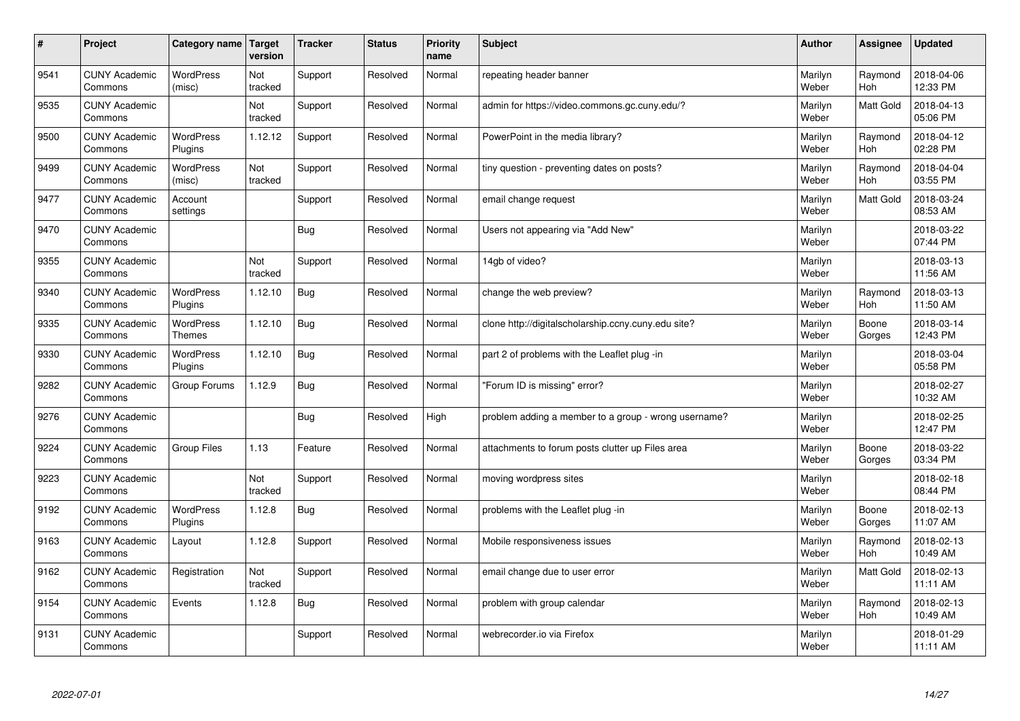| $\sharp$ | Project                         | Category name               | Target<br>version | <b>Tracker</b> | <b>Status</b> | <b>Priority</b><br>name | <b>Subject</b>                                       | <b>Author</b>    | Assignee              | <b>Updated</b>         |
|----------|---------------------------------|-----------------------------|-------------------|----------------|---------------|-------------------------|------------------------------------------------------|------------------|-----------------------|------------------------|
| 9541     | <b>CUNY Academic</b><br>Commons | <b>WordPress</b><br>(misc)  | Not<br>tracked    | Support        | Resolved      | Normal                  | repeating header banner                              | Marilyn<br>Weber | Raymond<br><b>Hoh</b> | 2018-04-06<br>12:33 PM |
| 9535     | <b>CUNY Academic</b><br>Commons |                             | Not<br>tracked    | Support        | Resolved      | Normal                  | admin for https://video.commons.gc.cuny.edu/?        | Marilyn<br>Weber | Matt Gold             | 2018-04-13<br>05:06 PM |
| 9500     | <b>CUNY Academic</b><br>Commons | <b>WordPress</b><br>Plugins | 1.12.12           | Support        | Resolved      | Normal                  | PowerPoint in the media library?                     | Marilyn<br>Weber | Raymond<br><b>Hoh</b> | 2018-04-12<br>02:28 PM |
| 9499     | <b>CUNY Academic</b><br>Commons | <b>WordPress</b><br>(misc)  | Not<br>tracked    | Support        | Resolved      | Normal                  | tiny question - preventing dates on posts?           | Marilyn<br>Weber | Raymond<br><b>Hoh</b> | 2018-04-04<br>03:55 PM |
| 9477     | <b>CUNY Academic</b><br>Commons | Account<br>settings         |                   | Support        | Resolved      | Normal                  | email change request                                 | Marilyn<br>Weber | Matt Gold             | 2018-03-24<br>08:53 AM |
| 9470     | <b>CUNY Academic</b><br>Commons |                             |                   | Bug            | Resolved      | Normal                  | Users not appearing via "Add New"                    | Marilyn<br>Weber |                       | 2018-03-22<br>07:44 PM |
| 9355     | <b>CUNY Academic</b><br>Commons |                             | Not<br>tracked    | Support        | Resolved      | Normal                  | 14gb of video?                                       | Marilyn<br>Weber |                       | 2018-03-13<br>11:56 AM |
| 9340     | <b>CUNY Academic</b><br>Commons | WordPress<br>Plugins        | 1.12.10           | Bug            | Resolved      | Normal                  | change the web preview?                              | Marilyn<br>Weber | Raymond<br>Hoh        | 2018-03-13<br>11:50 AM |
| 9335     | <b>CUNY Academic</b><br>Commons | WordPress<br><b>Themes</b>  | 1.12.10           | Bug            | Resolved      | Normal                  | clone http://digitalscholarship.ccny.cuny.edu site?  | Marilyn<br>Weber | Boone<br>Gorges       | 2018-03-14<br>12:43 PM |
| 9330     | <b>CUNY Academic</b><br>Commons | <b>WordPress</b><br>Plugins | 1.12.10           | Bug            | Resolved      | Normal                  | part 2 of problems with the Leaflet plug -in         | Marilyn<br>Weber |                       | 2018-03-04<br>05:58 PM |
| 9282     | <b>CUNY Academic</b><br>Commons | Group Forums                | 1.12.9            | Bug            | Resolved      | Normal                  | 'Forum ID is missing" error?                         | Marilyn<br>Weber |                       | 2018-02-27<br>10:32 AM |
| 9276     | <b>CUNY Academic</b><br>Commons |                             |                   | Bug            | Resolved      | High                    | problem adding a member to a group - wrong username? | Marilyn<br>Weber |                       | 2018-02-25<br>12:47 PM |
| 9224     | <b>CUNY Academic</b><br>Commons | <b>Group Files</b>          | 1.13              | Feature        | Resolved      | Normal                  | attachments to forum posts clutter up Files area     | Marilyn<br>Weber | Boone<br>Gorges       | 2018-03-22<br>03:34 PM |
| 9223     | <b>CUNY Academic</b><br>Commons |                             | Not<br>tracked    | Support        | Resolved      | Normal                  | moving wordpress sites                               | Marilyn<br>Weber |                       | 2018-02-18<br>08:44 PM |
| 9192     | <b>CUNY Academic</b><br>Commons | <b>WordPress</b><br>Plugins | 1.12.8            | Bug            | Resolved      | Normal                  | problems with the Leaflet plug -in                   | Marilyn<br>Weber | Boone<br>Gorges       | 2018-02-13<br>11:07 AM |
| 9163     | <b>CUNY Academic</b><br>Commons | Layout                      | 1.12.8            | Support        | Resolved      | Normal                  | Mobile responsiveness issues                         | Marilyn<br>Weber | Raymond<br><b>Hoh</b> | 2018-02-13<br>10:49 AM |
| 9162     | <b>CUNY Academic</b><br>Commons | Registration                | Not<br>tracked    | Support        | Resolved      | Normal                  | email change due to user error                       | Marilyn<br>Weber | <b>Matt Gold</b>      | 2018-02-13<br>11:11 AM |
| 9154     | <b>CUNY Academic</b><br>Commons | Events                      | 1.12.8            | <b>Bug</b>     | Resolved      | Normal                  | problem with group calendar                          | Marilyn<br>Weber | Raymond<br>Hoh        | 2018-02-13<br>10:49 AM |
| 9131     | <b>CUNY Academic</b><br>Commons |                             |                   | Support        | Resolved      | Normal                  | webrecorder.io via Firefox                           | Marilyn<br>Weber |                       | 2018-01-29<br>11:11 AM |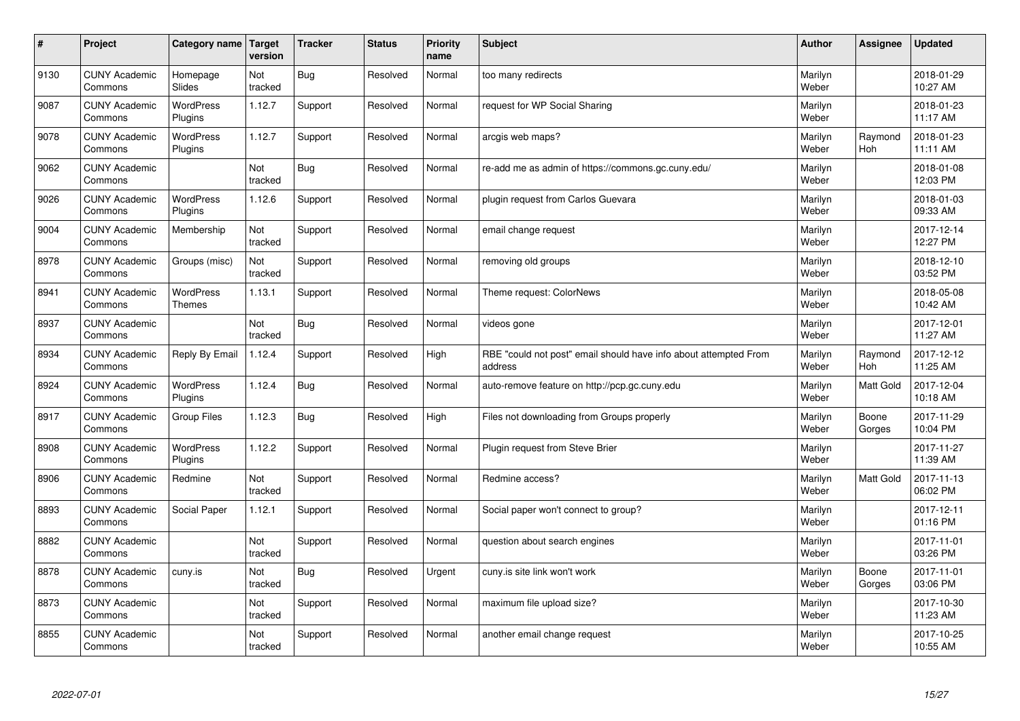| $\sharp$ | Project                         | Category name   Target      | version        | <b>Tracker</b> | <b>Status</b> | <b>Priority</b><br>name | <b>Subject</b>                                                              | <b>Author</b>    | Assignee              | <b>Updated</b>         |
|----------|---------------------------------|-----------------------------|----------------|----------------|---------------|-------------------------|-----------------------------------------------------------------------------|------------------|-----------------------|------------------------|
| 9130     | <b>CUNY Academic</b><br>Commons | Homepage<br>Slides          | Not<br>tracked | Bug            | Resolved      | Normal                  | too many redirects                                                          | Marilyn<br>Weber |                       | 2018-01-29<br>10:27 AM |
| 9087     | <b>CUNY Academic</b><br>Commons | <b>WordPress</b><br>Plugins | 1.12.7         | Support        | Resolved      | Normal                  | request for WP Social Sharing                                               | Marilyn<br>Weber |                       | 2018-01-23<br>11:17 AM |
| 9078     | <b>CUNY Academic</b><br>Commons | <b>WordPress</b><br>Plugins | 1.12.7         | Support        | Resolved      | Normal                  | arcgis web maps?                                                            | Marilyn<br>Weber | Raymond<br><b>Hoh</b> | 2018-01-23<br>11:11 AM |
| 9062     | <b>CUNY Academic</b><br>Commons |                             | Not<br>tracked | <b>Bug</b>     | Resolved      | Normal                  | re-add me as admin of https://commons.gc.cuny.edu/                          | Marilyn<br>Weber |                       | 2018-01-08<br>12:03 PM |
| 9026     | <b>CUNY Academic</b><br>Commons | <b>WordPress</b><br>Plugins | 1.12.6         | Support        | Resolved      | Normal                  | plugin request from Carlos Guevara                                          | Marilyn<br>Weber |                       | 2018-01-03<br>09:33 AM |
| 9004     | <b>CUNY Academic</b><br>Commons | Membership                  | Not<br>tracked | Support        | Resolved      | Normal                  | email change request                                                        | Marilyn<br>Weber |                       | 2017-12-14<br>12:27 PM |
| 8978     | <b>CUNY Academic</b><br>Commons | Groups (misc)               | Not<br>tracked | Support        | Resolved      | Normal                  | removing old groups                                                         | Marilyn<br>Weber |                       | 2018-12-10<br>03:52 PM |
| 8941     | <b>CUNY Academic</b><br>Commons | WordPress<br><b>Themes</b>  | 1.13.1         | Support        | Resolved      | Normal                  | Theme request: ColorNews                                                    | Marilyn<br>Weber |                       | 2018-05-08<br>10:42 AM |
| 8937     | <b>CUNY Academic</b><br>Commons |                             | Not<br>tracked | Bug            | Resolved      | Normal                  | videos gone                                                                 | Marilyn<br>Weber |                       | 2017-12-01<br>11:27 AM |
| 8934     | <b>CUNY Academic</b><br>Commons | Reply By Email              | 1.12.4         | Support        | Resolved      | High                    | RBE "could not post" email should have info about attempted From<br>address | Marilyn<br>Weber | Raymond<br>Hoh        | 2017-12-12<br>11:25 AM |
| 8924     | <b>CUNY Academic</b><br>Commons | WordPress<br>Plugins        | 1.12.4         | Bug            | Resolved      | Normal                  | auto-remove feature on http://pcp.gc.cuny.edu                               | Marilyn<br>Weber | Matt Gold             | 2017-12-04<br>10:18 AM |
| 8917     | <b>CUNY Academic</b><br>Commons | <b>Group Files</b>          | 1.12.3         | Bug            | Resolved      | High                    | Files not downloading from Groups properly                                  | Marilyn<br>Weber | Boone<br>Gorges       | 2017-11-29<br>10:04 PM |
| 8908     | <b>CUNY Academic</b><br>Commons | WordPress<br>Plugins        | 1.12.2         | Support        | Resolved      | Normal                  | Plugin request from Steve Brier                                             | Marilyn<br>Weber |                       | 2017-11-27<br>11:39 AM |
| 8906     | <b>CUNY Academic</b><br>Commons | Redmine                     | Not<br>tracked | Support        | Resolved      | Normal                  | Redmine access?                                                             | Marilyn<br>Weber | Matt Gold             | 2017-11-13<br>06:02 PM |
| 8893     | <b>CUNY Academic</b><br>Commons | Social Paper                | 1.12.1         | Support        | Resolved      | Normal                  | Social paper won't connect to group?                                        | Marilyn<br>Weber |                       | 2017-12-11<br>01:16 PM |
| 8882     | <b>CUNY Academic</b><br>Commons |                             | Not<br>tracked | Support        | Resolved      | Normal                  | question about search engines                                               | Marilyn<br>Weber |                       | 2017-11-01<br>03:26 PM |
| 8878     | <b>CUNY Academic</b><br>Commons | cuny.is                     | Not<br>tracked | Bug            | Resolved      | Urgent                  | cuny is site link won't work                                                | Marilyn<br>Weber | Boone<br>Gorges       | 2017-11-01<br>03:06 PM |
| 8873     | <b>CUNY Academic</b><br>Commons |                             | Not<br>tracked | Support        | Resolved      | Normal                  | maximum file upload size?                                                   | Marilyn<br>Weber |                       | 2017-10-30<br>11:23 AM |
| 8855     | <b>CUNY Academic</b><br>Commons |                             | Not<br>tracked | Support        | Resolved      | Normal                  | another email change request                                                | Marilyn<br>Weber |                       | 2017-10-25<br>10:55 AM |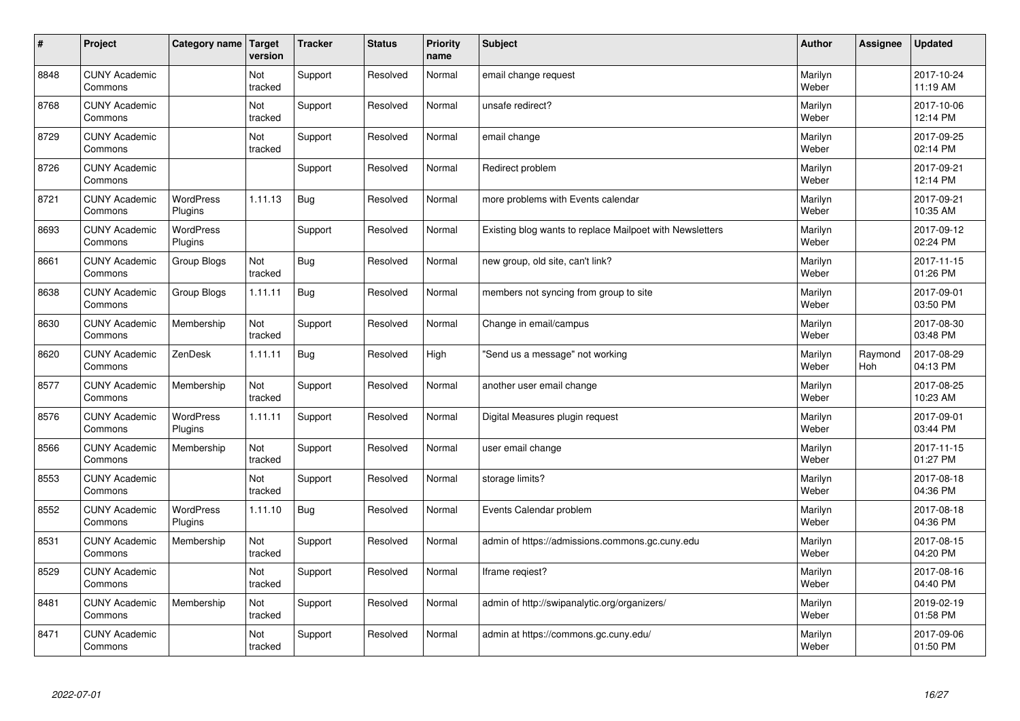| $\vert$ # | Project                         | Category name   Target      | version        | <b>Tracker</b> | <b>Status</b> | <b>Priority</b><br>name | <b>Subject</b>                                           | <b>Author</b>    | Assignee              | <b>Updated</b>         |
|-----------|---------------------------------|-----------------------------|----------------|----------------|---------------|-------------------------|----------------------------------------------------------|------------------|-----------------------|------------------------|
| 8848      | <b>CUNY Academic</b><br>Commons |                             | Not<br>tracked | Support        | Resolved      | Normal                  | email change request                                     | Marilyn<br>Weber |                       | 2017-10-24<br>11:19 AM |
| 8768      | <b>CUNY Academic</b><br>Commons |                             | Not<br>tracked | Support        | Resolved      | Normal                  | unsafe redirect?                                         | Marilyn<br>Weber |                       | 2017-10-06<br>12:14 PM |
| 8729      | <b>CUNY Academic</b><br>Commons |                             | Not<br>tracked | Support        | Resolved      | Normal                  | email change                                             | Marilyn<br>Weber |                       | 2017-09-25<br>02:14 PM |
| 8726      | <b>CUNY Academic</b><br>Commons |                             |                | Support        | Resolved      | Normal                  | Redirect problem                                         | Marilyn<br>Weber |                       | 2017-09-21<br>12:14 PM |
| 8721      | <b>CUNY Academic</b><br>Commons | WordPress<br>Plugins        | 1.11.13        | Bug            | Resolved      | Normal                  | more problems with Events calendar                       | Marilyn<br>Weber |                       | 2017-09-21<br>10:35 AM |
| 8693      | <b>CUNY Academic</b><br>Commons | <b>WordPress</b><br>Plugins |                | Support        | Resolved      | Normal                  | Existing blog wants to replace Mailpoet with Newsletters | Marilyn<br>Weber |                       | 2017-09-12<br>02:24 PM |
| 8661      | <b>CUNY Academic</b><br>Commons | Group Blogs                 | Not<br>tracked | <b>Bug</b>     | Resolved      | Normal                  | new group, old site, can't link?                         | Marilyn<br>Weber |                       | 2017-11-15<br>01:26 PM |
| 8638      | <b>CUNY Academic</b><br>Commons | Group Blogs                 | 1.11.11        | Bug            | Resolved      | Normal                  | members not syncing from group to site                   | Marilyn<br>Weber |                       | 2017-09-01<br>03:50 PM |
| 8630      | <b>CUNY Academic</b><br>Commons | Membership                  | Not<br>tracked | Support        | Resolved      | Normal                  | Change in email/campus                                   | Marilyn<br>Weber |                       | 2017-08-30<br>03:48 PM |
| 8620      | <b>CUNY Academic</b><br>Commons | ZenDesk                     | 1.11.11        | Bug            | Resolved      | High                    | 'Send us a message" not working                          | Marilyn<br>Weber | Raymond<br><b>Hoh</b> | 2017-08-29<br>04:13 PM |
| 8577      | <b>CUNY Academic</b><br>Commons | Membership                  | Not<br>tracked | Support        | Resolved      | Normal                  | another user email change                                | Marilyn<br>Weber |                       | 2017-08-25<br>10:23 AM |
| 8576      | <b>CUNY Academic</b><br>Commons | WordPress<br>Plugins        | 1.11.11        | Support        | Resolved      | Normal                  | Digital Measures plugin request                          | Marilyn<br>Weber |                       | 2017-09-01<br>03:44 PM |
| 8566      | <b>CUNY Academic</b><br>Commons | Membership                  | Not<br>tracked | Support        | Resolved      | Normal                  | user email change                                        | Marilyn<br>Weber |                       | 2017-11-15<br>01:27 PM |
| 8553      | <b>CUNY Academic</b><br>Commons |                             | Not<br>tracked | Support        | Resolved      | Normal                  | storage limits?                                          | Marilyn<br>Weber |                       | 2017-08-18<br>04:36 PM |
| 8552      | <b>CUNY Academic</b><br>Commons | WordPress<br>Plugins        | 1.11.10        | <b>Bug</b>     | Resolved      | Normal                  | Events Calendar problem                                  | Marilyn<br>Weber |                       | 2017-08-18<br>04:36 PM |
| 8531      | <b>CUNY Academic</b><br>Commons | Membership                  | Not<br>tracked | Support        | Resolved      | Normal                  | admin of https://admissions.commons.gc.cuny.edu          | Marilyn<br>Weber |                       | 2017-08-15<br>04:20 PM |
| 8529      | <b>CUNY Academic</b><br>Commons |                             | Not<br>tracked | Support        | Resolved      | Normal                  | Iframe regiest?                                          | Marilyn<br>Weber |                       | 2017-08-16<br>04:40 PM |
| 8481      | <b>CUNY Academic</b><br>Commons | Membership                  | Not<br>tracked | Support        | Resolved      | Normal                  | admin of http://swipanalytic.org/organizers/             | Marilyn<br>Weber |                       | 2019-02-19<br>01:58 PM |
| 8471      | <b>CUNY Academic</b><br>Commons |                             | Not<br>tracked | Support        | Resolved      | Normal                  | admin at https://commons.gc.cuny.edu/                    | Marilyn<br>Weber |                       | 2017-09-06<br>01:50 PM |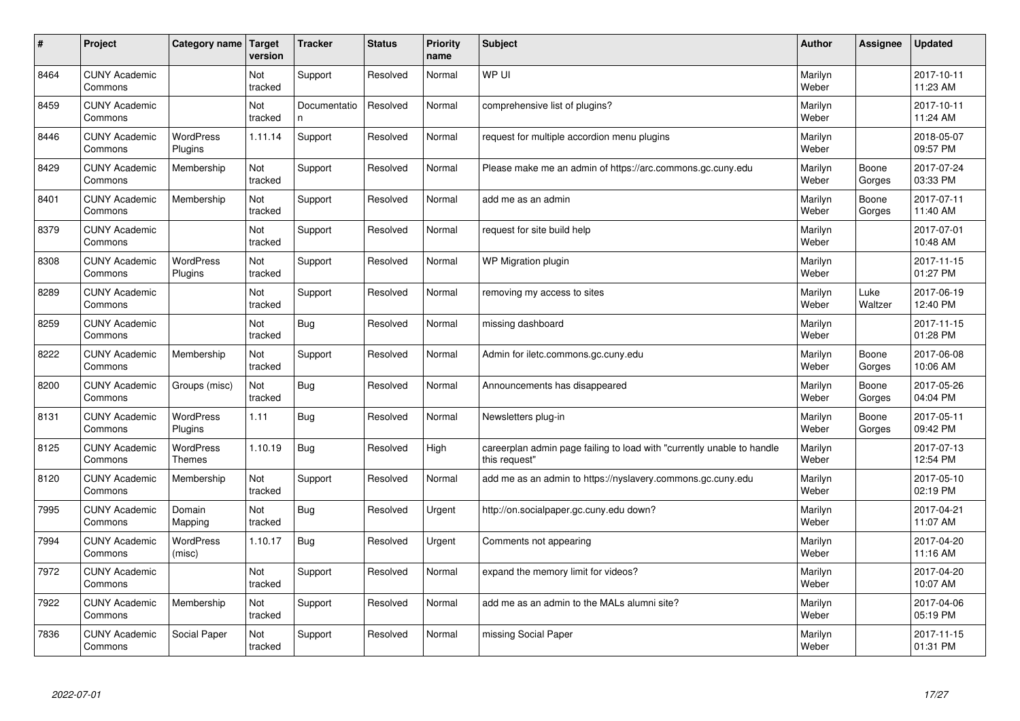| $\vert$ # | Project                         | Category name                     | <b>Target</b><br>version | <b>Tracker</b>    | <b>Status</b> | <b>Priority</b><br>name | <b>Subject</b>                                                                          | <b>Author</b>    | Assignee        | <b>Updated</b>         |
|-----------|---------------------------------|-----------------------------------|--------------------------|-------------------|---------------|-------------------------|-----------------------------------------------------------------------------------------|------------------|-----------------|------------------------|
| 8464      | <b>CUNY Academic</b><br>Commons |                                   | Not<br>tracked           | Support           | Resolved      | Normal                  | WP UI                                                                                   | Marilyn<br>Weber |                 | 2017-10-11<br>11:23 AM |
| 8459      | <b>CUNY Academic</b><br>Commons |                                   | Not<br>tracked           | Documentatio<br>n | Resolved      | Normal                  | comprehensive list of plugins?                                                          | Marilyn<br>Weber |                 | 2017-10-11<br>11:24 AM |
| 8446      | <b>CUNY Academic</b><br>Commons | <b>WordPress</b><br>Plugins       | 1.11.14                  | Support           | Resolved      | Normal                  | request for multiple accordion menu plugins                                             | Marilyn<br>Weber |                 | 2018-05-07<br>09:57 PM |
| 8429      | <b>CUNY Academic</b><br>Commons | Membership                        | Not<br>tracked           | Support           | Resolved      | Normal                  | Please make me an admin of https://arc.commons.gc.cuny.edu                              | Marilyn<br>Weber | Boone<br>Gorges | 2017-07-24<br>03:33 PM |
| 8401      | <b>CUNY Academic</b><br>Commons | Membership                        | Not<br>tracked           | Support           | Resolved      | Normal                  | add me as an admin                                                                      | Marilyn<br>Weber | Boone<br>Gorges | 2017-07-11<br>11:40 AM |
| 8379      | <b>CUNY Academic</b><br>Commons |                                   | Not<br>tracked           | Support           | Resolved      | Normal                  | request for site build help                                                             | Marilyn<br>Weber |                 | 2017-07-01<br>10:48 AM |
| 8308      | <b>CUNY Academic</b><br>Commons | <b>WordPress</b><br>Plugins       | Not<br>tracked           | Support           | Resolved      | Normal                  | WP Migration plugin                                                                     | Marilyn<br>Weber |                 | 2017-11-15<br>01:27 PM |
| 8289      | <b>CUNY Academic</b><br>Commons |                                   | <b>Not</b><br>tracked    | Support           | Resolved      | Normal                  | removing my access to sites                                                             | Marilyn<br>Weber | Luke<br>Waltzer | 2017-06-19<br>12:40 PM |
| 8259      | <b>CUNY Academic</b><br>Commons |                                   | Not<br>tracked           | <b>Bug</b>        | Resolved      | Normal                  | missing dashboard                                                                       | Marilyn<br>Weber |                 | 2017-11-15<br>01:28 PM |
| 8222      | <b>CUNY Academic</b><br>Commons | Membership                        | Not<br>tracked           | Support           | Resolved      | Normal                  | Admin for iletc.commons.gc.cuny.edu                                                     | Marilyn<br>Weber | Boone<br>Gorges | 2017-06-08<br>10:06 AM |
| 8200      | <b>CUNY Academic</b><br>Commons | Groups (misc)                     | Not<br>tracked           | <b>Bug</b>        | Resolved      | Normal                  | Announcements has disappeared                                                           | Marilyn<br>Weber | Boone<br>Gorges | 2017-05-26<br>04:04 PM |
| 8131      | <b>CUNY Academic</b><br>Commons | <b>WordPress</b><br>Plugins       | 1.11                     | Bug               | Resolved      | Normal                  | Newsletters plug-in                                                                     | Marilyn<br>Weber | Boone<br>Gorges | 2017-05-11<br>09:42 PM |
| 8125      | <b>CUNY Academic</b><br>Commons | <b>WordPress</b><br><b>Themes</b> | 1.10.19                  | Bug               | Resolved      | High                    | careerplan admin page failing to load with "currently unable to handle<br>this request" | Marilyn<br>Weber |                 | 2017-07-13<br>12:54 PM |
| 8120      | <b>CUNY Academic</b><br>Commons | Membership                        | Not<br>tracked           | Support           | Resolved      | Normal                  | add me as an admin to https://nyslavery.commons.gc.cuny.edu                             | Marilyn<br>Weber |                 | 2017-05-10<br>02:19 PM |
| 7995      | <b>CUNY Academic</b><br>Commons | Domain<br>Mapping                 | Not<br>tracked           | Bug               | Resolved      | Urgent                  | http://on.socialpaper.gc.cuny.edu down?                                                 | Marilyn<br>Weber |                 | 2017-04-21<br>11:07 AM |
| 7994      | <b>CUNY Academic</b><br>Commons | WordPress<br>(misc)               | 1.10.17                  | Bug               | Resolved      | Urgent                  | Comments not appearing                                                                  | Marilyn<br>Weber |                 | 2017-04-20<br>11:16 AM |
| 7972      | <b>CUNY Academic</b><br>Commons |                                   | Not<br>tracked           | Support           | Resolved      | Normal                  | expand the memory limit for videos?                                                     | Marilyn<br>Weber |                 | 2017-04-20<br>10:07 AM |
| 7922      | <b>CUNY Academic</b><br>Commons | Membership                        | Not<br>tracked           | Support           | Resolved      | Normal                  | add me as an admin to the MALs alumni site?                                             | Marilyn<br>Weber |                 | 2017-04-06<br>05:19 PM |
| 7836      | <b>CUNY Academic</b><br>Commons | Social Paper                      | Not<br>tracked           | Support           | Resolved      | Normal                  | missing Social Paper                                                                    | Marilyn<br>Weber |                 | 2017-11-15<br>01:31 PM |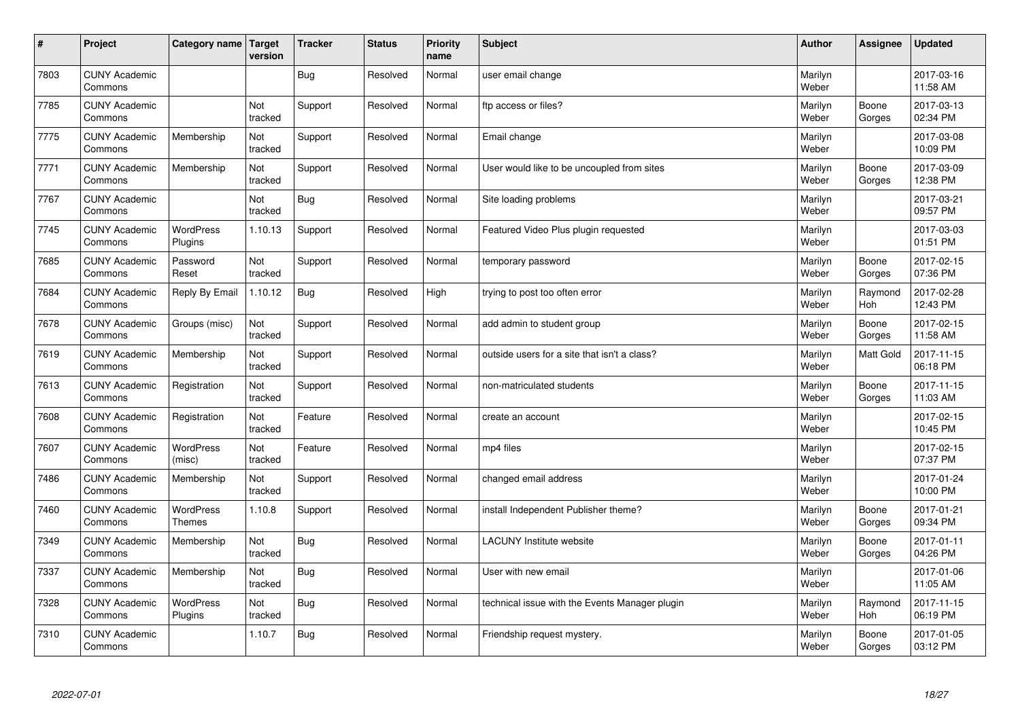| $\sharp$ | Project                         | Category name   Target            | version        | <b>Tracker</b> | <b>Status</b> | <b>Priority</b><br>name | <b>Subject</b>                                 | <b>Author</b>    | Assignee        | <b>Updated</b>         |
|----------|---------------------------------|-----------------------------------|----------------|----------------|---------------|-------------------------|------------------------------------------------|------------------|-----------------|------------------------|
| 7803     | <b>CUNY Academic</b><br>Commons |                                   |                | Bug            | Resolved      | Normal                  | user email change                              | Marilyn<br>Weber |                 | 2017-03-16<br>11:58 AM |
| 7785     | <b>CUNY Academic</b><br>Commons |                                   | Not<br>tracked | Support        | Resolved      | Normal                  | ftp access or files?                           | Marilyn<br>Weber | Boone<br>Gorges | 2017-03-13<br>02:34 PM |
| 7775     | <b>CUNY Academic</b><br>Commons | Membership                        | Not<br>tracked | Support        | Resolved      | Normal                  | Email change                                   | Marilyn<br>Weber |                 | 2017-03-08<br>10:09 PM |
| 7771     | <b>CUNY Academic</b><br>Commons | Membership                        | Not<br>tracked | Support        | Resolved      | Normal                  | User would like to be uncoupled from sites     | Marilyn<br>Weber | Boone<br>Gorges | 2017-03-09<br>12:38 PM |
| 7767     | <b>CUNY Academic</b><br>Commons |                                   | Not<br>tracked | Bug            | Resolved      | Normal                  | Site loading problems                          | Marilyn<br>Weber |                 | 2017-03-21<br>09:57 PM |
| 7745     | <b>CUNY Academic</b><br>Commons | WordPress<br>Plugins              | 1.10.13        | Support        | Resolved      | Normal                  | Featured Video Plus plugin requested           | Marilyn<br>Weber |                 | 2017-03-03<br>01:51 PM |
| 7685     | <b>CUNY Academic</b><br>Commons | Password<br>Reset                 | Not<br>tracked | Support        | Resolved      | Normal                  | temporary password                             | Marilyn<br>Weber | Boone<br>Gorges | 2017-02-15<br>07:36 PM |
| 7684     | <b>CUNY Academic</b><br>Commons | Reply By Email                    | 1.10.12        | Bug            | Resolved      | High                    | trying to post too often error                 | Marilyn<br>Weber | Raymond<br>Hoh  | 2017-02-28<br>12:43 PM |
| 7678     | <b>CUNY Academic</b><br>Commons | Groups (misc)                     | Not<br>tracked | Support        | Resolved      | Normal                  | add admin to student group                     | Marilyn<br>Weber | Boone<br>Gorges | 2017-02-15<br>11:58 AM |
| 7619     | <b>CUNY Academic</b><br>Commons | Membership                        | Not<br>tracked | Support        | Resolved      | Normal                  | outside users for a site that isn't a class?   | Marilyn<br>Weber | Matt Gold       | 2017-11-15<br>06:18 PM |
| 7613     | <b>CUNY Academic</b><br>Commons | Registration                      | Not<br>tracked | Support        | Resolved      | Normal                  | non-matriculated students                      | Marilyn<br>Weber | Boone<br>Gorges | 2017-11-15<br>11:03 AM |
| 7608     | <b>CUNY Academic</b><br>Commons | Registration                      | Not<br>tracked | Feature        | Resolved      | Normal                  | create an account                              | Marilyn<br>Weber |                 | 2017-02-15<br>10:45 PM |
| 7607     | <b>CUNY Academic</b><br>Commons | WordPress<br>(misc)               | Not<br>tracked | Feature        | Resolved      | Normal                  | mp4 files                                      | Marilyn<br>Weber |                 | 2017-02-15<br>07:37 PM |
| 7486     | <b>CUNY Academic</b><br>Commons | Membership                        | Not<br>tracked | Support        | Resolved      | Normal                  | changed email address                          | Marilyn<br>Weber |                 | 2017-01-24<br>10:00 PM |
| 7460     | <b>CUNY Academic</b><br>Commons | <b>WordPress</b><br><b>Themes</b> | 1.10.8         | Support        | Resolved      | Normal                  | install Independent Publisher theme?           | Marilyn<br>Weber | Boone<br>Gorges | 2017-01-21<br>09:34 PM |
| 7349     | <b>CUNY Academic</b><br>Commons | Membership                        | Not<br>tracked | Bug            | Resolved      | Normal                  | <b>LACUNY</b> Institute website                | Marilyn<br>Weber | Boone<br>Gorges | 2017-01-11<br>04:26 PM |
| 7337     | <b>CUNY Academic</b><br>Commons | Membership                        | Not<br>tracked | Bug            | Resolved      | Normal                  | User with new email                            | Marilyn<br>Weber |                 | 2017-01-06<br>11:05 AM |
| 7328     | <b>CUNY Academic</b><br>Commons | <b>WordPress</b><br>Plugins       | Not<br>tracked | Bug            | Resolved      | Normal                  | technical issue with the Events Manager plugin | Marilyn<br>Weber | Raymond<br>Hoh  | 2017-11-15<br>06:19 PM |
| 7310     | <b>CUNY Academic</b><br>Commons |                                   | 1.10.7         | <b>Bug</b>     | Resolved      | Normal                  | Friendship request mystery.                    | Marilyn<br>Weber | Boone<br>Gorges | 2017-01-05<br>03:12 PM |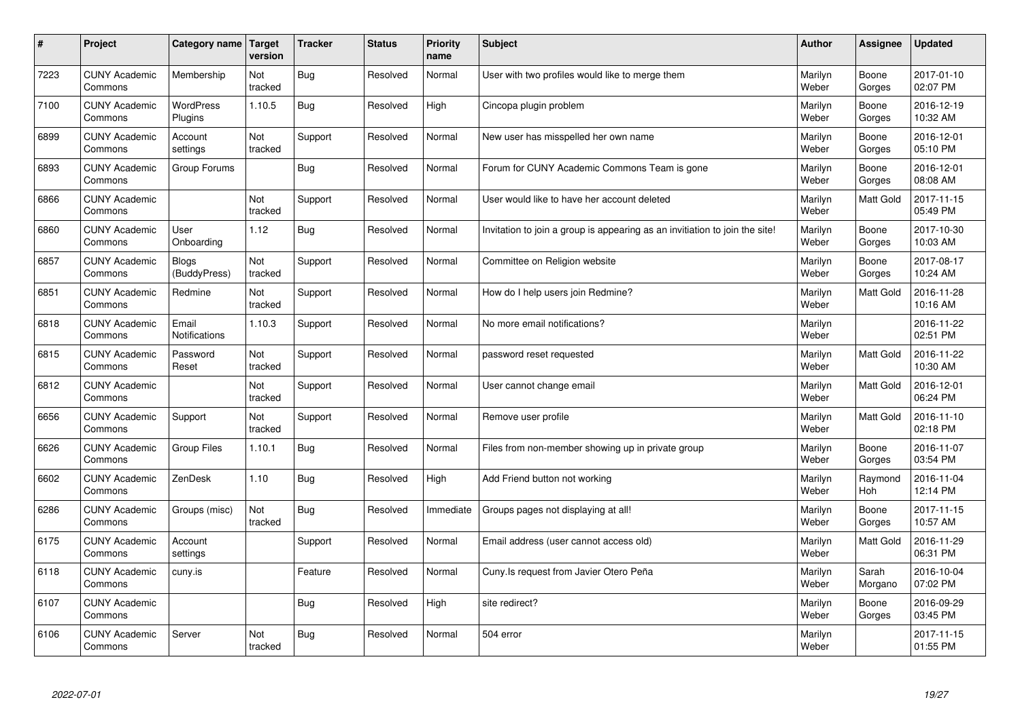| #    | Project                         | Category name                 | <b>Target</b><br>version | <b>Tracker</b> | <b>Status</b> | <b>Priority</b><br>name | <b>Subject</b>                                                              | <b>Author</b>    | Assignee         | <b>Updated</b>         |
|------|---------------------------------|-------------------------------|--------------------------|----------------|---------------|-------------------------|-----------------------------------------------------------------------------|------------------|------------------|------------------------|
| 7223 | <b>CUNY Academic</b><br>Commons | Membership                    | Not<br>tracked           | <b>Bug</b>     | Resolved      | Normal                  | User with two profiles would like to merge them                             | Marilyn<br>Weber | Boone<br>Gorges  | 2017-01-10<br>02:07 PM |
| 7100 | <b>CUNY Academic</b><br>Commons | <b>WordPress</b><br>Plugins   | 1.10.5                   | Bug            | Resolved      | High                    | Cincopa plugin problem                                                      | Marilyn<br>Weber | Boone<br>Gorges  | 2016-12-19<br>10:32 AM |
| 6899 | <b>CUNY Academic</b><br>Commons | Account<br>settings           | Not<br>tracked           | Support        | Resolved      | Normal                  | New user has misspelled her own name                                        | Marilyn<br>Weber | Boone<br>Gorges  | 2016-12-01<br>05:10 PM |
| 6893 | <b>CUNY Academic</b><br>Commons | Group Forums                  |                          | <b>Bug</b>     | Resolved      | Normal                  | Forum for CUNY Academic Commons Team is gone                                | Marilyn<br>Weber | Boone<br>Gorges  | 2016-12-01<br>08:08 AM |
| 6866 | <b>CUNY Academic</b><br>Commons |                               | Not<br>tracked           | Support        | Resolved      | Normal                  | User would like to have her account deleted                                 | Marilyn<br>Weber | <b>Matt Gold</b> | 2017-11-15<br>05:49 PM |
| 6860 | <b>CUNY Academic</b><br>Commons | User<br>Onboarding            | 1.12                     | <b>Bug</b>     | Resolved      | Normal                  | Invitation to join a group is appearing as an invitiation to join the site! | Marilyn<br>Weber | Boone<br>Gorges  | 2017-10-30<br>10:03 AM |
| 6857 | <b>CUNY Academic</b><br>Commons | Blogs<br>(BuddyPress)         | Not<br>tracked           | Support        | Resolved      | Normal                  | Committee on Religion website                                               | Marilyn<br>Weber | Boone<br>Gorges  | 2017-08-17<br>10:24 AM |
| 6851 | <b>CUNY Academic</b><br>Commons | Redmine                       | Not<br>tracked           | Support        | Resolved      | Normal                  | How do I help users join Redmine?                                           | Marilyn<br>Weber | Matt Gold        | 2016-11-28<br>10:16 AM |
| 6818 | <b>CUNY Academic</b><br>Commons | Email<br><b>Notifications</b> | 1.10.3                   | Support        | Resolved      | Normal                  | No more email notifications?                                                | Marilyn<br>Weber |                  | 2016-11-22<br>02:51 PM |
| 6815 | <b>CUNY Academic</b><br>Commons | Password<br>Reset             | Not<br>tracked           | Support        | Resolved      | Normal                  | password reset requested                                                    | Marilyn<br>Weber | Matt Gold        | 2016-11-22<br>10:30 AM |
| 6812 | <b>CUNY Academic</b><br>Commons |                               | Not<br>tracked           | Support        | Resolved      | Normal                  | User cannot change email                                                    | Marilyn<br>Weber | Matt Gold        | 2016-12-01<br>06:24 PM |
| 6656 | <b>CUNY Academic</b><br>Commons | Support                       | Not<br>tracked           | Support        | Resolved      | Normal                  | Remove user profile                                                         | Marilyn<br>Weber | Matt Gold        | 2016-11-10<br>02:18 PM |
| 6626 | <b>CUNY Academic</b><br>Commons | Group Files                   | 1.10.1                   | Bug            | Resolved      | Normal                  | Files from non-member showing up in private group                           | Marilyn<br>Weber | Boone<br>Gorges  | 2016-11-07<br>03:54 PM |
| 6602 | <b>CUNY Academic</b><br>Commons | ZenDesk                       | 1.10                     | <b>Bug</b>     | Resolved      | High                    | Add Friend button not working                                               | Marilyn<br>Weber | Raymond<br>Hoh   | 2016-11-04<br>12:14 PM |
| 6286 | <b>CUNY Academic</b><br>Commons | Groups (misc)                 | Not<br>tracked           | <b>Bug</b>     | Resolved      | Immediate               | Groups pages not displaying at all!                                         | Marilyn<br>Weber | Boone<br>Gorges  | 2017-11-15<br>10:57 AM |
| 6175 | <b>CUNY Academic</b><br>Commons | Account<br>settings           |                          | Support        | Resolved      | Normal                  | Email address (user cannot access old)                                      | Marilyn<br>Weber | Matt Gold        | 2016-11-29<br>06:31 PM |
| 6118 | <b>CUNY Academic</b><br>Commons | cuny.is                       |                          | Feature        | Resolved      | Normal                  | Cuny.Is request from Javier Otero Peña                                      | Marilyn<br>Weber | Sarah<br>Morgano | 2016-10-04<br>07:02 PM |
| 6107 | <b>CUNY Academic</b><br>Commons |                               |                          | <b>Bug</b>     | Resolved      | High                    | site redirect?                                                              | Marilyn<br>Weber | Boone<br>Gorges  | 2016-09-29<br>03:45 PM |
| 6106 | <b>CUNY Academic</b><br>Commons | Server                        | Not<br>tracked           | Bug            | Resolved      | Normal                  | 504 error                                                                   | Marilyn<br>Weber |                  | 2017-11-15<br>01:55 PM |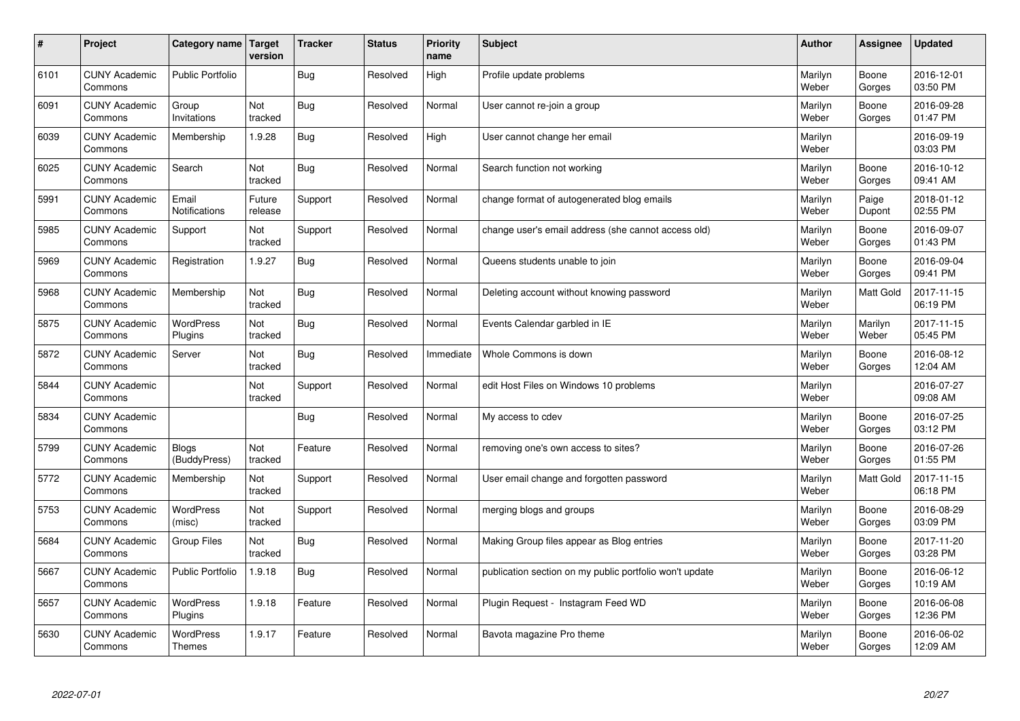| $\sharp$ | Project                         | Category name   Target            | version           | <b>Tracker</b> | <b>Status</b> | <b>Priority</b><br>name | <b>Subject</b>                                          | <b>Author</b>    | Assignee         | <b>Updated</b>         |
|----------|---------------------------------|-----------------------------------|-------------------|----------------|---------------|-------------------------|---------------------------------------------------------|------------------|------------------|------------------------|
| 6101     | <b>CUNY Academic</b><br>Commons | <b>Public Portfolio</b>           |                   | Bug            | Resolved      | High                    | Profile update problems                                 | Marilyn<br>Weber | Boone<br>Gorges  | 2016-12-01<br>03:50 PM |
| 6091     | <b>CUNY Academic</b><br>Commons | Group<br>Invitations              | Not<br>tracked    | Bug            | Resolved      | Normal                  | User cannot re-join a group                             | Marilyn<br>Weber | Boone<br>Gorges  | 2016-09-28<br>01:47 PM |
| 6039     | <b>CUNY Academic</b><br>Commons | Membership                        | 1.9.28            | Bug            | Resolved      | High                    | User cannot change her email                            | Marilyn<br>Weber |                  | 2016-09-19<br>03:03 PM |
| 6025     | <b>CUNY Academic</b><br>Commons | Search                            | Not<br>tracked    | <b>Bug</b>     | Resolved      | Normal                  | Search function not working                             | Marilyn<br>Weber | Boone<br>Gorges  | 2016-10-12<br>09:41 AM |
| 5991     | <b>CUNY Academic</b><br>Commons | Email<br>Notifications            | Future<br>release | Support        | Resolved      | Normal                  | change format of autogenerated blog emails              | Marilyn<br>Weber | Paige<br>Dupont  | 2018-01-12<br>02:55 PM |
| 5985     | <b>CUNY Academic</b><br>Commons | Support                           | Not<br>tracked    | Support        | Resolved      | Normal                  | change user's email address (she cannot access old)     | Marilyn<br>Weber | Boone<br>Gorges  | 2016-09-07<br>01:43 PM |
| 5969     | <b>CUNY Academic</b><br>Commons | Registration                      | 1.9.27            | <b>Bug</b>     | Resolved      | Normal                  | Queens students unable to join                          | Marilyn<br>Weber | Boone<br>Gorges  | 2016-09-04<br>09:41 PM |
| 5968     | <b>CUNY Academic</b><br>Commons | Membership                        | Not<br>tracked    | Bug            | Resolved      | Normal                  | Deleting account without knowing password               | Marilyn<br>Weber | Matt Gold        | 2017-11-15<br>06:19 PM |
| 5875     | <b>CUNY Academic</b><br>Commons | <b>WordPress</b><br>Plugins       | Not<br>tracked    | Bug            | Resolved      | Normal                  | Events Calendar garbled in IE                           | Marilyn<br>Weber | Marilyn<br>Weber | 2017-11-15<br>05:45 PM |
| 5872     | <b>CUNY Academic</b><br>Commons | Server                            | Not<br>tracked    | Bug            | Resolved      | Immediate               | Whole Commons is down                                   | Marilyn<br>Weber | Boone<br>Gorges  | 2016-08-12<br>12:04 AM |
| 5844     | <b>CUNY Academic</b><br>Commons |                                   | Not<br>tracked    | Support        | Resolved      | Normal                  | edit Host Files on Windows 10 problems                  | Marilyn<br>Weber |                  | 2016-07-27<br>09:08 AM |
| 5834     | <b>CUNY Academic</b><br>Commons |                                   |                   | Bug            | Resolved      | Normal                  | My access to cdev                                       | Marilyn<br>Weber | Boone<br>Gorges  | 2016-07-25<br>03:12 PM |
| 5799     | <b>CUNY Academic</b><br>Commons | Blogs<br>(BuddyPress)             | Not<br>tracked    | Feature        | Resolved      | Normal                  | removing one's own access to sites?                     | Marilyn<br>Weber | Boone<br>Gorges  | 2016-07-26<br>01:55 PM |
| 5772     | <b>CUNY Academic</b><br>Commons | Membership                        | Not<br>tracked    | Support        | Resolved      | Normal                  | User email change and forgotten password                | Marilyn<br>Weber | Matt Gold        | 2017-11-15<br>06:18 PM |
| 5753     | <b>CUNY Academic</b><br>Commons | <b>WordPress</b><br>(misc)        | Not<br>tracked    | Support        | Resolved      | Normal                  | merging blogs and groups                                | Marilyn<br>Weber | Boone<br>Gorges  | 2016-08-29<br>03:09 PM |
| 5684     | <b>CUNY Academic</b><br>Commons | <b>Group Files</b>                | Not<br>tracked    | Bug            | Resolved      | Normal                  | Making Group files appear as Blog entries               | Marilyn<br>Weber | Boone<br>Gorges  | 2017-11-20<br>03:28 PM |
| 5667     | <b>CUNY Academic</b><br>Commons | <b>Public Portfolio</b>           | 1.9.18            | <b>Bug</b>     | Resolved      | Normal                  | publication section on my public portfolio won't update | Marilyn<br>Weber | Boone<br>Gorges  | 2016-06-12<br>10:19 AM |
| 5657     | <b>CUNY Academic</b><br>Commons | WordPress<br>Plugins              | 1.9.18            | Feature        | Resolved      | Normal                  | Plugin Request - Instagram Feed WD                      | Marilyn<br>Weber | Boone<br>Gorges  | 2016-06-08<br>12:36 PM |
| 5630     | <b>CUNY Academic</b><br>Commons | <b>WordPress</b><br><b>Themes</b> | 1.9.17            | Feature        | Resolved      | Normal                  | Bavota magazine Pro theme                               | Marilyn<br>Weber | Boone<br>Gorges  | 2016-06-02<br>12:09 AM |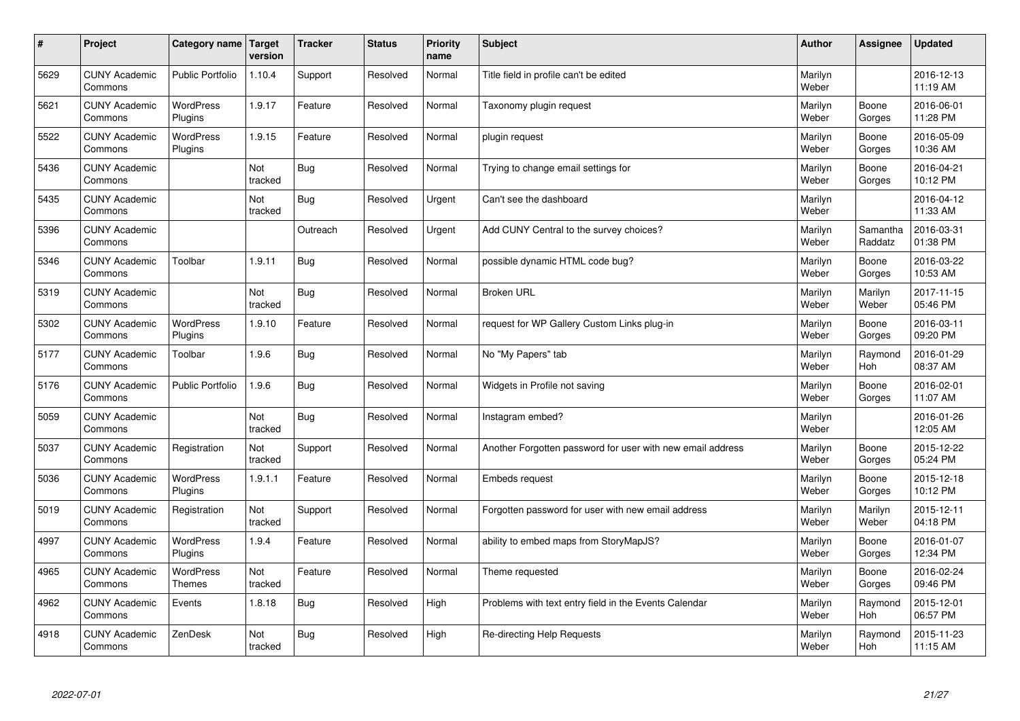| $\pmb{\#}$ | Project                         | <b>Category name</b>        | Target<br>version | <b>Tracker</b> | <b>Status</b> | <b>Priority</b><br>name | <b>Subject</b>                                             | <b>Author</b>    | Assignee            | <b>Updated</b>         |
|------------|---------------------------------|-----------------------------|-------------------|----------------|---------------|-------------------------|------------------------------------------------------------|------------------|---------------------|------------------------|
| 5629       | <b>CUNY Academic</b><br>Commons | <b>Public Portfolio</b>     | 1.10.4            | Support        | Resolved      | Normal                  | Title field in profile can't be edited                     | Marilyn<br>Weber |                     | 2016-12-13<br>11:19 AM |
| 5621       | <b>CUNY Academic</b><br>Commons | <b>WordPress</b><br>Plugins | 1.9.17            | Feature        | Resolved      | Normal                  | Taxonomy plugin request                                    | Marilyn<br>Weber | Boone<br>Gorges     | 2016-06-01<br>11:28 PM |
| 5522       | <b>CUNY Academic</b><br>Commons | <b>WordPress</b><br>Plugins | 1.9.15            | Feature        | Resolved      | Normal                  | plugin request                                             | Marilyn<br>Weber | Boone<br>Gorges     | 2016-05-09<br>10:36 AM |
| 5436       | <b>CUNY Academic</b><br>Commons |                             | Not<br>tracked    | <b>Bug</b>     | Resolved      | Normal                  | Trying to change email settings for                        | Marilyn<br>Weber | Boone<br>Gorges     | 2016-04-21<br>10:12 PM |
| 5435       | <b>CUNY Academic</b><br>Commons |                             | Not<br>tracked    | Bug            | Resolved      | Urgent                  | Can't see the dashboard                                    | Marilyn<br>Weber |                     | 2016-04-12<br>11:33 AM |
| 5396       | <b>CUNY Academic</b><br>Commons |                             |                   | Outreach       | Resolved      | Urgent                  | Add CUNY Central to the survey choices?                    | Marilyn<br>Weber | Samantha<br>Raddatz | 2016-03-31<br>01:38 PM |
| 5346       | <b>CUNY Academic</b><br>Commons | Toolbar                     | 1.9.11            | Bug            | Resolved      | Normal                  | possible dynamic HTML code bug?                            | Marilyn<br>Weber | Boone<br>Gorges     | 2016-03-22<br>10:53 AM |
| 5319       | <b>CUNY Academic</b><br>Commons |                             | Not<br>tracked    | <b>Bug</b>     | Resolved      | Normal                  | <b>Broken URL</b>                                          | Marilyn<br>Weber | Marilyn<br>Weber    | 2017-11-15<br>05:46 PM |
| 5302       | <b>CUNY Academic</b><br>Commons | <b>WordPress</b><br>Plugins | 1.9.10            | Feature        | Resolved      | Normal                  | request for WP Gallery Custom Links plug-in                | Marilyn<br>Weber | Boone<br>Gorges     | 2016-03-11<br>09:20 PM |
| 5177       | <b>CUNY Academic</b><br>Commons | Toolbar                     | 1.9.6             | Bug            | Resolved      | Normal                  | No "My Papers" tab                                         | Marilyn<br>Weber | Raymond<br>Hoh      | 2016-01-29<br>08:37 AM |
| 5176       | <b>CUNY Academic</b><br>Commons | <b>Public Portfolio</b>     | 1.9.6             | <b>Bug</b>     | Resolved      | Normal                  | Widgets in Profile not saving                              | Marilyn<br>Weber | Boone<br>Gorges     | 2016-02-01<br>11:07 AM |
| 5059       | <b>CUNY Academic</b><br>Commons |                             | Not<br>tracked    | <b>Bug</b>     | Resolved      | Normal                  | Instagram embed?                                           | Marilyn<br>Weber |                     | 2016-01-26<br>12:05 AM |
| 5037       | <b>CUNY Academic</b><br>Commons | Registration                | Not<br>tracked    | Support        | Resolved      | Normal                  | Another Forgotten password for user with new email address | Marilyn<br>Weber | Boone<br>Gorges     | 2015-12-22<br>05:24 PM |
| 5036       | <b>CUNY Academic</b><br>Commons | WordPress<br>Plugins        | 1.9.1.1           | Feature        | Resolved      | Normal                  | Embeds request                                             | Marilyn<br>Weber | Boone<br>Gorges     | 2015-12-18<br>10:12 PM |
| 5019       | <b>CUNY Academic</b><br>Commons | Registration                | Not<br>tracked    | Support        | Resolved      | Normal                  | Forgotten password for user with new email address         | Marilyn<br>Weber | Marilyn<br>Weber    | 2015-12-11<br>04:18 PM |
| 4997       | <b>CUNY Academic</b><br>Commons | <b>WordPress</b><br>Plugins | 1.9.4             | Feature        | Resolved      | Normal                  | ability to embed maps from StoryMapJS?                     | Marilyn<br>Weber | Boone<br>Gorges     | 2016-01-07<br>12:34 PM |
| 4965       | <b>CUNY Academic</b><br>Commons | <b>WordPress</b><br>Themes  | Not<br>tracked    | Feature        | Resolved      | Normal                  | Theme requested                                            | Marilyn<br>Weber | Boone<br>Gorges     | 2016-02-24<br>09:46 PM |
| 4962       | <b>CUNY Academic</b><br>Commons | Events                      | 1.8.18            | <b>Bug</b>     | Resolved      | High                    | Problems with text entry field in the Events Calendar      | Marilyn<br>Weber | Raymond<br>Hoh      | 2015-12-01<br>06:57 PM |
| 4918       | <b>CUNY Academic</b><br>Commons | ZenDesk                     | Not<br>tracked    | <b>Bug</b>     | Resolved      | High                    | Re-directing Help Requests                                 | Marilyn<br>Weber | Raymond<br>Hoh      | 2015-11-23<br>11:15 AM |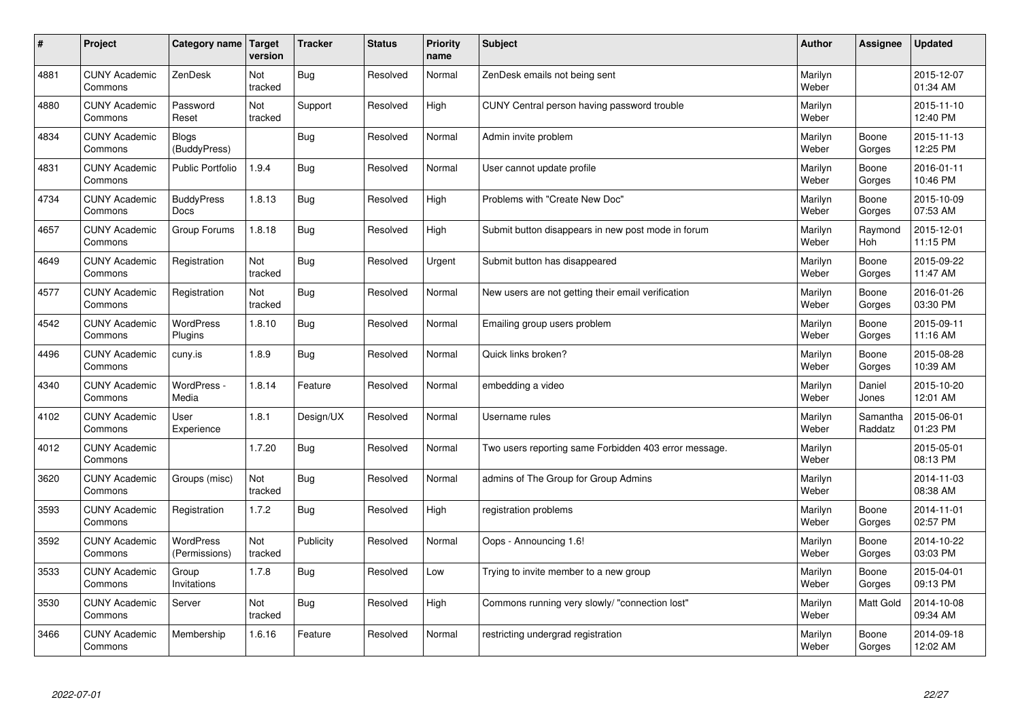| $\sharp$ | Project                         | Category name   Target            | version        | <b>Tracker</b> | <b>Status</b> | <b>Priority</b><br>name | <b>Subject</b>                                        | <b>Author</b>    | Assignee            | <b>Updated</b>         |
|----------|---------------------------------|-----------------------------------|----------------|----------------|---------------|-------------------------|-------------------------------------------------------|------------------|---------------------|------------------------|
| 4881     | <b>CUNY Academic</b><br>Commons | ZenDesk                           | Not<br>tracked | Bug            | Resolved      | Normal                  | ZenDesk emails not being sent                         | Marilyn<br>Weber |                     | 2015-12-07<br>01:34 AM |
| 4880     | <b>CUNY Academic</b><br>Commons | Password<br>Reset                 | Not<br>tracked | Support        | Resolved      | High                    | CUNY Central person having password trouble           | Marilyn<br>Weber |                     | 2015-11-10<br>12:40 PM |
| 4834     | <b>CUNY Academic</b><br>Commons | Blogs<br>(BuddyPress)             |                | Bug            | Resolved      | Normal                  | Admin invite problem                                  | Marilyn<br>Weber | Boone<br>Gorges     | 2015-11-13<br>12:25 PM |
| 4831     | <b>CUNY Academic</b><br>Commons | <b>Public Portfolio</b>           | 1.9.4          | <b>Bug</b>     | Resolved      | Normal                  | User cannot update profile                            | Marilyn<br>Weber | Boone<br>Gorges     | 2016-01-11<br>10:46 PM |
| 4734     | <b>CUNY Academic</b><br>Commons | <b>BuddyPress</b><br>Docs         | 1.8.13         | Bug            | Resolved      | High                    | Problems with "Create New Doc"                        | Marilyn<br>Weber | Boone<br>Gorges     | 2015-10-09<br>07:53 AM |
| 4657     | <b>CUNY Academic</b><br>Commons | Group Forums                      | 1.8.18         | <b>Bug</b>     | Resolved      | High                    | Submit button disappears in new post mode in forum    | Marilyn<br>Weber | Raymond<br>Hoh      | 2015-12-01<br>11:15 PM |
| 4649     | <b>CUNY Academic</b><br>Commons | Registration                      | Not<br>tracked | Bug            | Resolved      | Urgent                  | Submit button has disappeared                         | Marilyn<br>Weber | Boone<br>Gorges     | 2015-09-22<br>11:47 AM |
| 4577     | <b>CUNY Academic</b><br>Commons | Registration                      | Not<br>tracked | Bug            | Resolved      | Normal                  | New users are not getting their email verification    | Marilyn<br>Weber | Boone<br>Gorges     | 2016-01-26<br>03:30 PM |
| 4542     | <b>CUNY Academic</b><br>Commons | WordPress<br>Plugins              | 1.8.10         | <b>Bug</b>     | Resolved      | Normal                  | Emailing group users problem                          | Marilyn<br>Weber | Boone<br>Gorges     | 2015-09-11<br>11:16 AM |
| 4496     | <b>CUNY Academic</b><br>Commons | cuny.is                           | 1.8.9          | Bug            | Resolved      | Normal                  | Quick links broken?                                   | Marilyn<br>Weber | Boone<br>Gorges     | 2015-08-28<br>10:39 AM |
| 4340     | <b>CUNY Academic</b><br>Commons | WordPress -<br>Media              | 1.8.14         | Feature        | Resolved      | Normal                  | embedding a video                                     | Marilyn<br>Weber | Daniel<br>Jones     | 2015-10-20<br>12:01 AM |
| 4102     | <b>CUNY Academic</b><br>Commons | User<br>Experience                | 1.8.1          | Design/UX      | Resolved      | Normal                  | Username rules                                        | Marilyn<br>Weber | Samantha<br>Raddatz | 2015-06-01<br>01:23 PM |
| 4012     | <b>CUNY Academic</b><br>Commons |                                   | 1.7.20         | Bug            | Resolved      | Normal                  | Two users reporting same Forbidden 403 error message. | Marilyn<br>Weber |                     | 2015-05-01<br>08:13 PM |
| 3620     | <b>CUNY Academic</b><br>Commons | Groups (misc)                     | Not<br>tracked | Bug            | Resolved      | Normal                  | admins of The Group for Group Admins                  | Marilyn<br>Weber |                     | 2014-11-03<br>08:38 AM |
| 3593     | <b>CUNY Academic</b><br>Commons | Registration                      | 1.7.2          | <b>Bug</b>     | Resolved      | High                    | registration problems                                 | Marilyn<br>Weber | Boone<br>Gorges     | 2014-11-01<br>02:57 PM |
| 3592     | <b>CUNY Academic</b><br>Commons | <b>WordPress</b><br>(Permissions) | Not<br>tracked | Publicity      | Resolved      | Normal                  | Oops - Announcing 1.6!                                | Marilyn<br>Weber | Boone<br>Gorges     | 2014-10-22<br>03:03 PM |
| 3533     | <b>CUNY Academic</b><br>Commons | Group<br>Invitations              | 1.7.8          | Bug            | Resolved      | Low                     | Trying to invite member to a new group                | Marilyn<br>Weber | Boone<br>Gorges     | 2015-04-01<br>09:13 PM |
| 3530     | <b>CUNY Academic</b><br>Commons | Server                            | Not<br>tracked | Bug            | Resolved      | High                    | Commons running very slowly/ "connection lost"        | Marilyn<br>Weber | <b>Matt Gold</b>    | 2014-10-08<br>09:34 AM |
| 3466     | <b>CUNY Academic</b><br>Commons | Membership                        | 1.6.16         | Feature        | Resolved      | Normal                  | restricting undergrad registration                    | Marilyn<br>Weber | Boone<br>Gorges     | 2014-09-18<br>12:02 AM |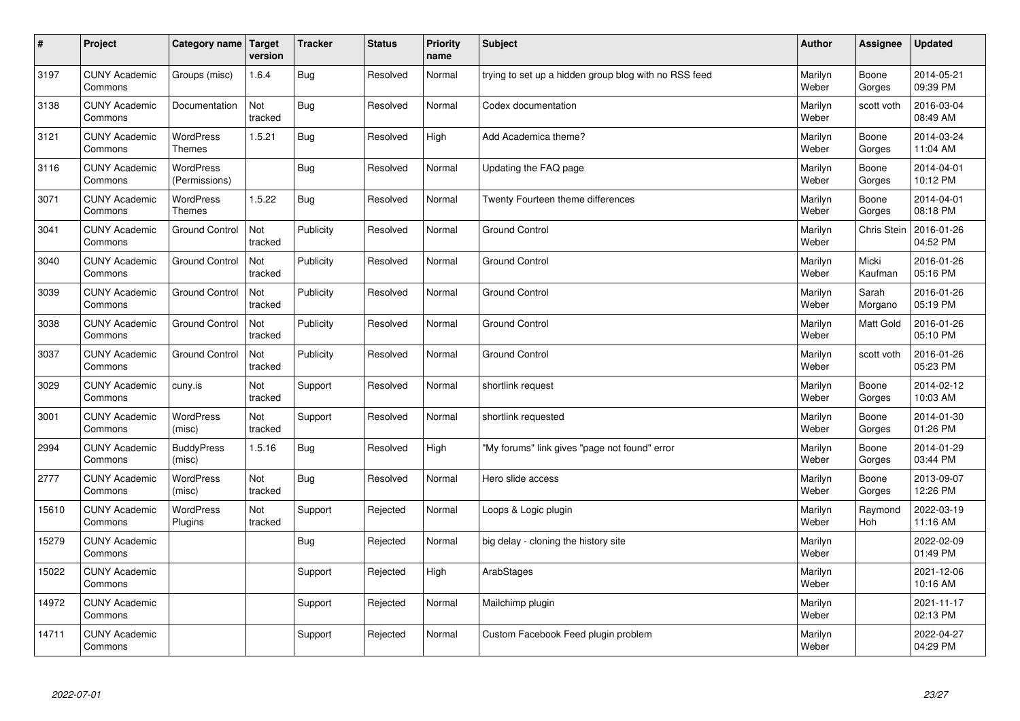| $\sharp$ | Project                         | Category name   Target            | version        | <b>Tracker</b> | <b>Status</b> | <b>Priority</b><br>name | <b>Subject</b>                                        | <b>Author</b>    | Assignee           | <b>Updated</b>         |
|----------|---------------------------------|-----------------------------------|----------------|----------------|---------------|-------------------------|-------------------------------------------------------|------------------|--------------------|------------------------|
| 3197     | <b>CUNY Academic</b><br>Commons | Groups (misc)                     | 1.6.4          | Bug            | Resolved      | Normal                  | trying to set up a hidden group blog with no RSS feed | Marilyn<br>Weber | Boone<br>Gorges    | 2014-05-21<br>09:39 PM |
| 3138     | <b>CUNY Academic</b><br>Commons | Documentation                     | Not<br>tracked | Bug            | Resolved      | Normal                  | Codex documentation                                   | Marilyn<br>Weber | scott voth         | 2016-03-04<br>08:49 AM |
| 3121     | <b>CUNY Academic</b><br>Commons | <b>WordPress</b><br><b>Themes</b> | 1.5.21         | Bug            | Resolved      | High                    | Add Academica theme?                                  | Marilyn<br>Weber | Boone<br>Gorges    | 2014-03-24<br>11:04 AM |
| 3116     | <b>CUNY Academic</b><br>Commons | <b>WordPress</b><br>(Permissions) |                | Bug            | Resolved      | Normal                  | Updating the FAQ page                                 | Marilyn<br>Weber | Boone<br>Gorges    | 2014-04-01<br>10:12 PM |
| 3071     | <b>CUNY Academic</b><br>Commons | <b>WordPress</b><br><b>Themes</b> | 1.5.22         | Bug            | Resolved      | Normal                  | Twenty Fourteen theme differences                     | Marilyn<br>Weber | Boone<br>Gorges    | 2014-04-01<br>08:18 PM |
| 3041     | <b>CUNY Academic</b><br>Commons | <b>Ground Control</b>             | Not<br>tracked | Publicity      | Resolved      | Normal                  | Ground Control                                        | Marilyn<br>Weber | <b>Chris Stein</b> | 2016-01-26<br>04:52 PM |
| 3040     | <b>CUNY Academic</b><br>Commons | <b>Ground Control</b>             | Not<br>tracked | Publicity      | Resolved      | Normal                  | <b>Ground Control</b>                                 | Marilyn<br>Weber | Micki<br>Kaufman   | 2016-01-26<br>05:16 PM |
| 3039     | <b>CUNY Academic</b><br>Commons | <b>Ground Control</b>             | Not<br>tracked | Publicity      | Resolved      | Normal                  | <b>Ground Control</b>                                 | Marilyn<br>Weber | Sarah<br>Morgano   | 2016-01-26<br>05:19 PM |
| 3038     | <b>CUNY Academic</b><br>Commons | <b>Ground Control</b>             | Not<br>tracked | Publicity      | Resolved      | Normal                  | <b>Ground Control</b>                                 | Marilyn<br>Weber | <b>Matt Gold</b>   | 2016-01-26<br>05:10 PM |
| 3037     | <b>CUNY Academic</b><br>Commons | <b>Ground Control</b>             | Not<br>tracked | Publicity      | Resolved      | Normal                  | <b>Ground Control</b>                                 | Marilyn<br>Weber | scott voth         | 2016-01-26<br>05:23 PM |
| 3029     | <b>CUNY Academic</b><br>Commons | cuny.is                           | Not<br>tracked | Support        | Resolved      | Normal                  | shortlink request                                     | Marilyn<br>Weber | Boone<br>Gorges    | 2014-02-12<br>10:03 AM |
| 3001     | <b>CUNY Academic</b><br>Commons | <b>WordPress</b><br>(misc)        | Not<br>tracked | Support        | Resolved      | Normal                  | shortlink requested                                   | Marilyn<br>Weber | Boone<br>Gorges    | 2014-01-30<br>01:26 PM |
| 2994     | <b>CUNY Academic</b><br>Commons | <b>BuddyPress</b><br>(misc)       | 1.5.16         | Bug            | Resolved      | High                    | "My forums" link gives "page not found" error         | Marilyn<br>Weber | Boone<br>Gorges    | 2014-01-29<br>03:44 PM |
| 2777     | <b>CUNY Academic</b><br>Commons | WordPress<br>(misc)               | Not<br>tracked | Bug            | Resolved      | Normal                  | Hero slide access                                     | Marilyn<br>Weber | Boone<br>Gorges    | 2013-09-07<br>12:26 PM |
| 15610    | <b>CUNY Academic</b><br>Commons | <b>WordPress</b><br>Plugins       | Not<br>tracked | Support        | Rejected      | Normal                  | Loops & Logic plugin                                  | Marilyn<br>Weber | Raymond<br>Hoh     | 2022-03-19<br>11:16 AM |
| 15279    | <b>CUNY Academic</b><br>Commons |                                   |                | Bug            | Rejected      | Normal                  | big delay - cloning the history site                  | Marilyn<br>Weber |                    | 2022-02-09<br>01:49 PM |
| 15022    | <b>CUNY Academic</b><br>Commons |                                   |                | Support        | Rejected      | High                    | ArabStages                                            | Marilyn<br>Weber |                    | 2021-12-06<br>10:16 AM |
| 14972    | <b>CUNY Academic</b><br>Commons |                                   |                | Support        | Rejected      | Normal                  | Mailchimp plugin                                      | Marilyn<br>Weber |                    | 2021-11-17<br>02:13 PM |
| 14711    | <b>CUNY Academic</b><br>Commons |                                   |                | Support        | Rejected      | Normal                  | Custom Facebook Feed plugin problem                   | Marilyn<br>Weber |                    | 2022-04-27<br>04:29 PM |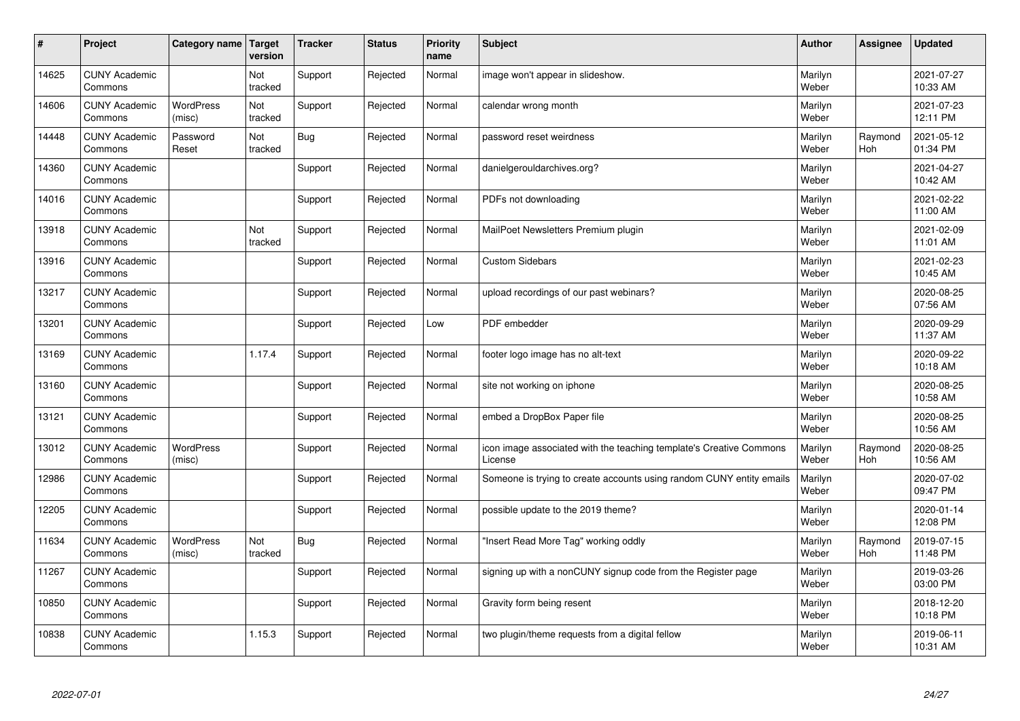| $\sharp$ | Project                         | Category name   Target     | version        | <b>Tracker</b> | <b>Status</b> | <b>Priority</b><br>name | <b>Subject</b>                                                                 | <b>Author</b>    | <b>Assignee</b>       | <b>Updated</b>         |
|----------|---------------------------------|----------------------------|----------------|----------------|---------------|-------------------------|--------------------------------------------------------------------------------|------------------|-----------------------|------------------------|
| 14625    | <b>CUNY Academic</b><br>Commons |                            | Not<br>tracked | Support        | Rejected      | Normal                  | image won't appear in slideshow.                                               | Marilyn<br>Weber |                       | 2021-07-27<br>10:33 AM |
| 14606    | <b>CUNY Academic</b><br>Commons | <b>WordPress</b><br>(misc) | Not<br>tracked | Support        | Rejected      | Normal                  | calendar wrong month                                                           | Marilyn<br>Weber |                       | 2021-07-23<br>12:11 PM |
| 14448    | <b>CUNY Academic</b><br>Commons | Password<br>Reset          | Not<br>tracked | Bug            | Rejected      | Normal                  | password reset weirdness                                                       | Marilyn<br>Weber | Raymond<br><b>Hoh</b> | 2021-05-12<br>01:34 PM |
| 14360    | <b>CUNY Academic</b><br>Commons |                            |                | Support        | Rejected      | Normal                  | danielgerouldarchives.org?                                                     | Marilyn<br>Weber |                       | 2021-04-27<br>10:42 AM |
| 14016    | <b>CUNY Academic</b><br>Commons |                            |                | Support        | Rejected      | Normal                  | PDFs not downloading                                                           | Marilyn<br>Weber |                       | 2021-02-22<br>11:00 AM |
| 13918    | <b>CUNY Academic</b><br>Commons |                            | Not<br>tracked | Support        | Rejected      | Normal                  | MailPoet Newsletters Premium plugin                                            | Marilyn<br>Weber |                       | 2021-02-09<br>11:01 AM |
| 13916    | <b>CUNY Academic</b><br>Commons |                            |                | Support        | Rejected      | Normal                  | <b>Custom Sidebars</b>                                                         | Marilyn<br>Weber |                       | 2021-02-23<br>10:45 AM |
| 13217    | <b>CUNY Academic</b><br>Commons |                            |                | Support        | Rejected      | Normal                  | upload recordings of our past webinars?                                        | Marilyn<br>Weber |                       | 2020-08-25<br>07:56 AM |
| 13201    | <b>CUNY Academic</b><br>Commons |                            |                | Support        | Rejected      | Low                     | PDF embedder                                                                   | Marilyn<br>Weber |                       | 2020-09-29<br>11:37 AM |
| 13169    | <b>CUNY Academic</b><br>Commons |                            | 1.17.4         | Support        | Rejected      | Normal                  | footer logo image has no alt-text                                              | Marilyn<br>Weber |                       | 2020-09-22<br>10:18 AM |
| 13160    | <b>CUNY Academic</b><br>Commons |                            |                | Support        | Rejected      | Normal                  | site not working on iphone                                                     | Marilyn<br>Weber |                       | 2020-08-25<br>10:58 AM |
| 13121    | <b>CUNY Academic</b><br>Commons |                            |                | Support        | Rejected      | Normal                  | embed a DropBox Paper file                                                     | Marilyn<br>Weber |                       | 2020-08-25<br>10:56 AM |
| 13012    | <b>CUNY Academic</b><br>Commons | <b>WordPress</b><br>(misc) |                | Support        | Rejected      | Normal                  | icon image associated with the teaching template's Creative Commons<br>License | Marilyn<br>Weber | Raymond<br>Hoh        | 2020-08-25<br>10:56 AM |
| 12986    | <b>CUNY Academic</b><br>Commons |                            |                | Support        | Rejected      | Normal                  | Someone is trying to create accounts using random CUNY entity emails           | Marilyn<br>Weber |                       | 2020-07-02<br>09:47 PM |
| 12205    | <b>CUNY Academic</b><br>Commons |                            |                | Support        | Rejected      | Normal                  | possible update to the 2019 theme?                                             | Marilyn<br>Weber |                       | 2020-01-14<br>12:08 PM |
| 11634    | <b>CUNY Academic</b><br>Commons | <b>WordPress</b><br>(misc) | Not<br>tracked | Bug            | Rejected      | Normal                  | "Insert Read More Tag" working oddly                                           | Marilyn<br>Weber | Raymond<br><b>Hoh</b> | 2019-07-15<br>11:48 PM |
| 11267    | <b>CUNY Academic</b><br>Commons |                            |                | Support        | Rejected      | Normal                  | signing up with a nonCUNY signup code from the Register page                   | Marilyn<br>Weber |                       | 2019-03-26<br>03:00 PM |
| 10850    | <b>CUNY Academic</b><br>Commons |                            |                | Support        | Rejected      | Normal                  | Gravity form being resent                                                      | Marilyn<br>Weber |                       | 2018-12-20<br>10:18 PM |
| 10838    | <b>CUNY Academic</b><br>Commons |                            | 1.15.3         | Support        | Rejected      | Normal                  | two plugin/theme requests from a digital fellow                                | Marilyn<br>Weber |                       | 2019-06-11<br>10:31 AM |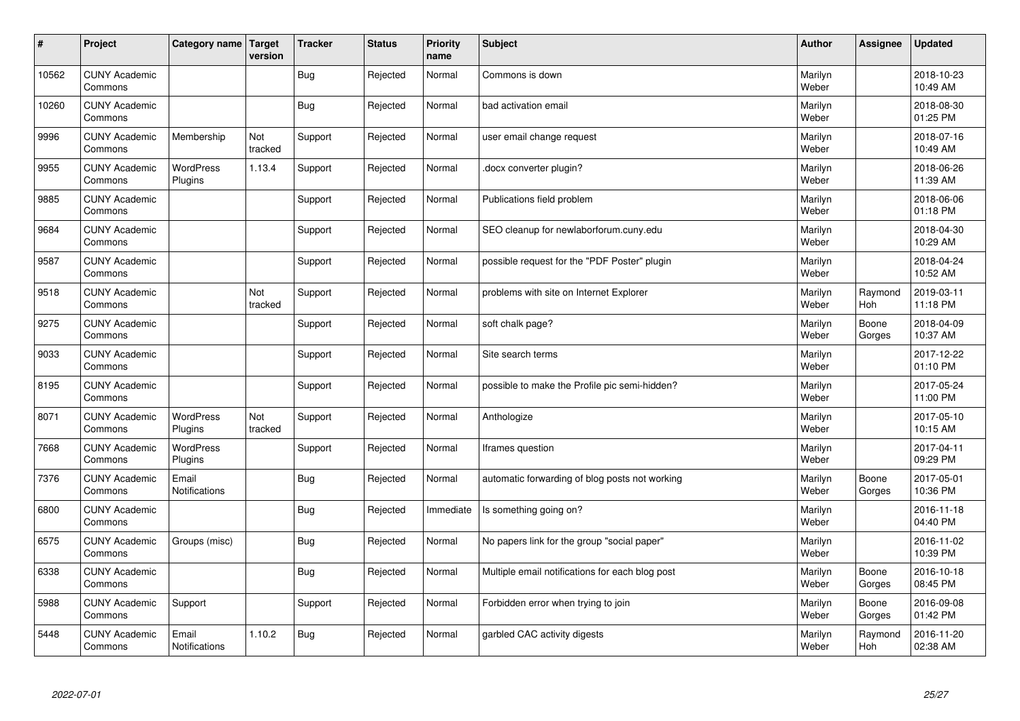| #     | Project                         | Category name   Target        | version        | <b>Tracker</b> | <b>Status</b> | <b>Priority</b><br>name | <b>Subject</b>                                  | <b>Author</b>    | Assignee        | <b>Updated</b>         |
|-------|---------------------------------|-------------------------------|----------------|----------------|---------------|-------------------------|-------------------------------------------------|------------------|-----------------|------------------------|
| 10562 | <b>CUNY Academic</b><br>Commons |                               |                | <b>Bug</b>     | Rejected      | Normal                  | Commons is down                                 | Marilyn<br>Weber |                 | 2018-10-23<br>10:49 AM |
| 10260 | <b>CUNY Academic</b><br>Commons |                               |                | <b>Bug</b>     | Rejected      | Normal                  | bad activation email                            | Marilyn<br>Weber |                 | 2018-08-30<br>01:25 PM |
| 9996  | <b>CUNY Academic</b><br>Commons | Membership                    | Not<br>tracked | Support        | Rejected      | Normal                  | user email change request                       | Marilyn<br>Weber |                 | 2018-07-16<br>10:49 AM |
| 9955  | <b>CUNY Academic</b><br>Commons | <b>WordPress</b><br>Plugins   | 1.13.4         | Support        | Rejected      | Normal                  | docx converter plugin?                          | Marilyn<br>Weber |                 | 2018-06-26<br>11:39 AM |
| 9885  | <b>CUNY Academic</b><br>Commons |                               |                | Support        | Rejected      | Normal                  | Publications field problem                      | Marilyn<br>Weber |                 | 2018-06-06<br>01:18 PM |
| 9684  | <b>CUNY Academic</b><br>Commons |                               |                | Support        | Rejected      | Normal                  | SEO cleanup for newlaborforum.cuny.edu          | Marilyn<br>Weber |                 | 2018-04-30<br>10:29 AM |
| 9587  | <b>CUNY Academic</b><br>Commons |                               |                | Support        | Rejected      | Normal                  | possible request for the "PDF Poster" plugin    | Marilyn<br>Weber |                 | 2018-04-24<br>10:52 AM |
| 9518  | <b>CUNY Academic</b><br>Commons |                               | Not<br>tracked | Support        | Rejected      | Normal                  | problems with site on Internet Explorer         | Marilyn<br>Weber | Raymond<br>Hoh  | 2019-03-11<br>11:18 PM |
| 9275  | <b>CUNY Academic</b><br>Commons |                               |                | Support        | Rejected      | Normal                  | soft chalk page?                                | Marilyn<br>Weber | Boone<br>Gorges | 2018-04-09<br>10:37 AM |
| 9033  | <b>CUNY Academic</b><br>Commons |                               |                | Support        | Rejected      | Normal                  | Site search terms                               | Marilyn<br>Weber |                 | 2017-12-22<br>01:10 PM |
| 8195  | <b>CUNY Academic</b><br>Commons |                               |                | Support        | Rejected      | Normal                  | possible to make the Profile pic semi-hidden?   | Marilyn<br>Weber |                 | 2017-05-24<br>11:00 PM |
| 8071  | <b>CUNY Academic</b><br>Commons | WordPress<br>Plugins          | Not<br>tracked | Support        | Rejected      | Normal                  | Anthologize                                     | Marilyn<br>Weber |                 | 2017-05-10<br>10:15 AM |
| 7668  | <b>CUNY Academic</b><br>Commons | <b>WordPress</b><br>Plugins   |                | Support        | Rejected      | Normal                  | Iframes question                                | Marilyn<br>Weber |                 | 2017-04-11<br>09:29 PM |
| 7376  | <b>CUNY Academic</b><br>Commons | Email<br><b>Notifications</b> |                | <b>Bug</b>     | Rejected      | Normal                  | automatic forwarding of blog posts not working  | Marilyn<br>Weber | Boone<br>Gorges | 2017-05-01<br>10:36 PM |
| 6800  | <b>CUNY Academic</b><br>Commons |                               |                | <b>Bug</b>     | Rejected      | Immediate               | Is something going on?                          | Marilyn<br>Weber |                 | 2016-11-18<br>04:40 PM |
| 6575  | <b>CUNY Academic</b><br>Commons | Groups (misc)                 |                | Bug            | Rejected      | Normal                  | No papers link for the group "social paper"     | Marilyn<br>Weber |                 | 2016-11-02<br>10:39 PM |
| 6338  | <b>CUNY Academic</b><br>Commons |                               |                | <b>Bug</b>     | Rejected      | Normal                  | Multiple email notifications for each blog post | Marilyn<br>Weber | Boone<br>Gorges | 2016-10-18<br>08:45 PM |
| 5988  | <b>CUNY Academic</b><br>Commons | Support                       |                | Support        | Rejected      | Normal                  | Forbidden error when trying to join             | Marilyn<br>Weber | Boone<br>Gorges | 2016-09-08<br>01:42 PM |
| 5448  | <b>CUNY Academic</b><br>Commons | Email<br><b>Notifications</b> | 1.10.2         | Bug            | Rejected      | Normal                  | garbled CAC activity digests                    | Marilyn<br>Weber | Raymond<br>Hoh  | 2016-11-20<br>02:38 AM |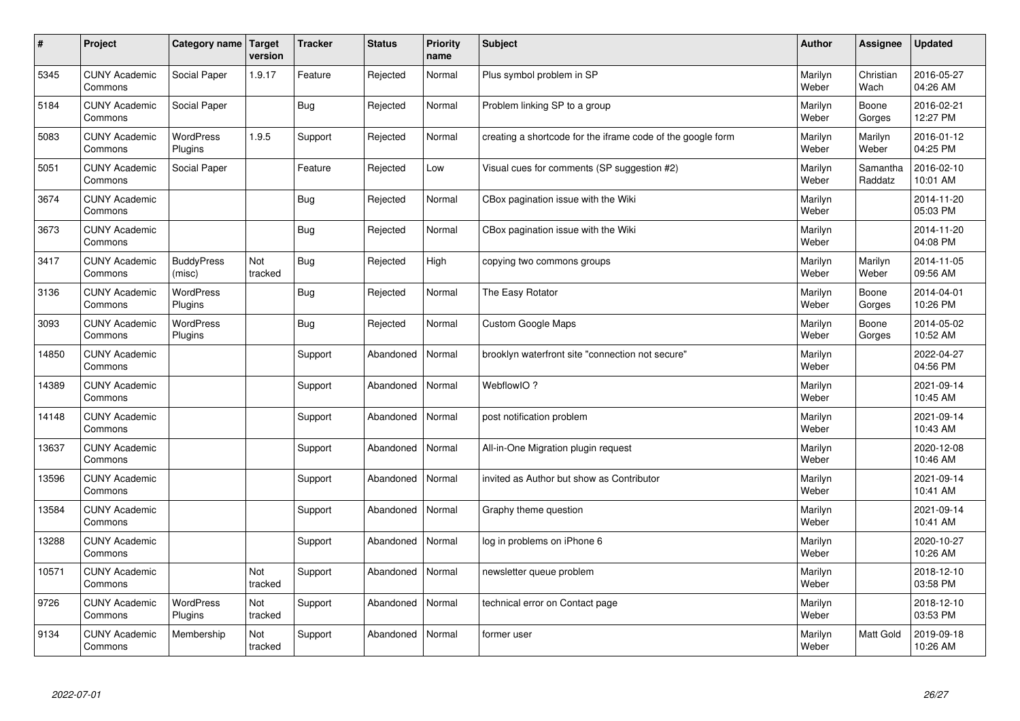| $\sharp$ | Project                         | Category name   Target      | version        | <b>Tracker</b> | <b>Status</b> | <b>Priority</b><br>name | <b>Subject</b>                                              | <b>Author</b>    | <b>Assignee</b>     | <b>Updated</b>         |
|----------|---------------------------------|-----------------------------|----------------|----------------|---------------|-------------------------|-------------------------------------------------------------|------------------|---------------------|------------------------|
| 5345     | <b>CUNY Academic</b><br>Commons | Social Paper                | 1.9.17         | Feature        | Rejected      | Normal                  | Plus symbol problem in SP                                   | Marilyn<br>Weber | Christian<br>Wach   | 2016-05-27<br>04:26 AM |
| 5184     | <b>CUNY Academic</b><br>Commons | Social Paper                |                | Bug            | Rejected      | Normal                  | Problem linking SP to a group                               | Marilyn<br>Weber | Boone<br>Gorges     | 2016-02-21<br>12:27 PM |
| 5083     | <b>CUNY Academic</b><br>Commons | <b>WordPress</b><br>Plugins | 1.9.5          | Support        | Rejected      | Normal                  | creating a shortcode for the iframe code of the google form | Marilyn<br>Weber | Marilyn<br>Weber    | 2016-01-12<br>04:25 PM |
| 5051     | <b>CUNY Academic</b><br>Commons | Social Paper                |                | Feature        | Rejected      | Low                     | Visual cues for comments (SP suggestion #2)                 | Marilyn<br>Weber | Samantha<br>Raddatz | 2016-02-10<br>10:01 AM |
| 3674     | <b>CUNY Academic</b><br>Commons |                             |                | Bug            | Rejected      | Normal                  | CBox pagination issue with the Wiki                         | Marilyn<br>Weber |                     | 2014-11-20<br>05:03 PM |
| 3673     | <b>CUNY Academic</b><br>Commons |                             |                | Bug            | Rejected      | Normal                  | CBox pagination issue with the Wiki                         | Marilyn<br>Weber |                     | 2014-11-20<br>04:08 PM |
| 3417     | <b>CUNY Academic</b><br>Commons | <b>BuddyPress</b><br>(misc) | Not<br>tracked | Bug            | Rejected      | High                    | copying two commons groups                                  | Marilyn<br>Weber | Marilyn<br>Weber    | 2014-11-05<br>09:56 AM |
| 3136     | <b>CUNY Academic</b><br>Commons | WordPress<br>Plugins        |                | Bug            | Rejected      | Normal                  | The Easy Rotator                                            | Marilyn<br>Weber | Boone<br>Gorges     | 2014-04-01<br>10:26 PM |
| 3093     | <b>CUNY Academic</b><br>Commons | <b>WordPress</b><br>Plugins |                | Bug            | Rejected      | Normal                  | <b>Custom Google Maps</b>                                   | Marilyn<br>Weber | Boone<br>Gorges     | 2014-05-02<br>10:52 AM |
| 14850    | <b>CUNY Academic</b><br>Commons |                             |                | Support        | Abandoned     | Normal                  | brooklyn waterfront site "connection not secure"            | Marilyn<br>Weber |                     | 2022-04-27<br>04:56 PM |
| 14389    | <b>CUNY Academic</b><br>Commons |                             |                | Support        | Abandoned     | Normal                  | WebflowIO?                                                  | Marilyn<br>Weber |                     | 2021-09-14<br>10:45 AM |
| 14148    | <b>CUNY Academic</b><br>Commons |                             |                | Support        | Abandoned     | Normal                  | post notification problem                                   | Marilyn<br>Weber |                     | 2021-09-14<br>10:43 AM |
| 13637    | <b>CUNY Academic</b><br>Commons |                             |                | Support        | Abandoned     | Normal                  | All-in-One Migration plugin request                         | Marilyn<br>Weber |                     | 2020-12-08<br>10:46 AM |
| 13596    | <b>CUNY Academic</b><br>Commons |                             |                | Support        | Abandoned     | Normal                  | invited as Author but show as Contributor                   | Marilyn<br>Weber |                     | 2021-09-14<br>10:41 AM |
| 13584    | <b>CUNY Academic</b><br>Commons |                             |                | Support        | Abandoned     | Normal                  | Graphy theme question                                       | Marilyn<br>Weber |                     | 2021-09-14<br>10:41 AM |
| 13288    | <b>CUNY Academic</b><br>Commons |                             |                | Support        | Abandoned     | Normal                  | log in problems on iPhone 6                                 | Marilyn<br>Weber |                     | 2020-10-27<br>10:26 AM |
| 10571    | <b>CUNY Academic</b><br>Commons |                             | Not<br>tracked | Support        | Abandoned     | Normal                  | newsletter queue problem                                    | Marilyn<br>Weber |                     | 2018-12-10<br>03:58 PM |
| 9726     | <b>CUNY Academic</b><br>Commons | <b>WordPress</b><br>Plugins | Not<br>tracked | Support        | Abandoned     | Normal                  | technical error on Contact page                             | Marilyn<br>Weber |                     | 2018-12-10<br>03:53 PM |
| 9134     | <b>CUNY Academic</b><br>Commons | Membership                  | Not<br>tracked | Support        | Abandoned     | Normal                  | former user                                                 | Marilyn<br>Weber | <b>Matt Gold</b>    | 2019-09-18<br>10:26 AM |